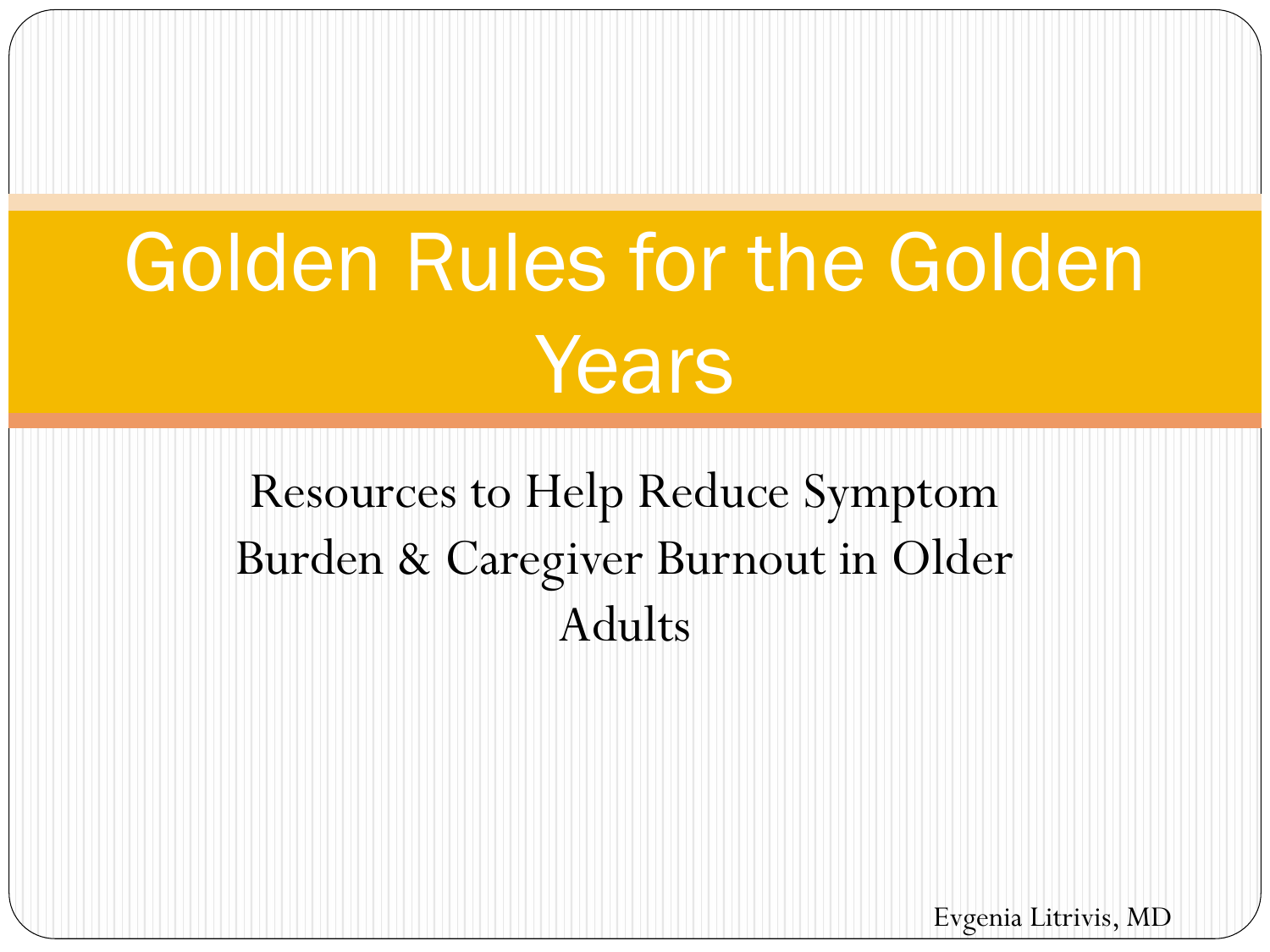# Golden Rules for the Golden Years

Resources to Help Reduce Symptom Burden & Caregiver Burnout in Older Adults

Evgenia Litrivis, MD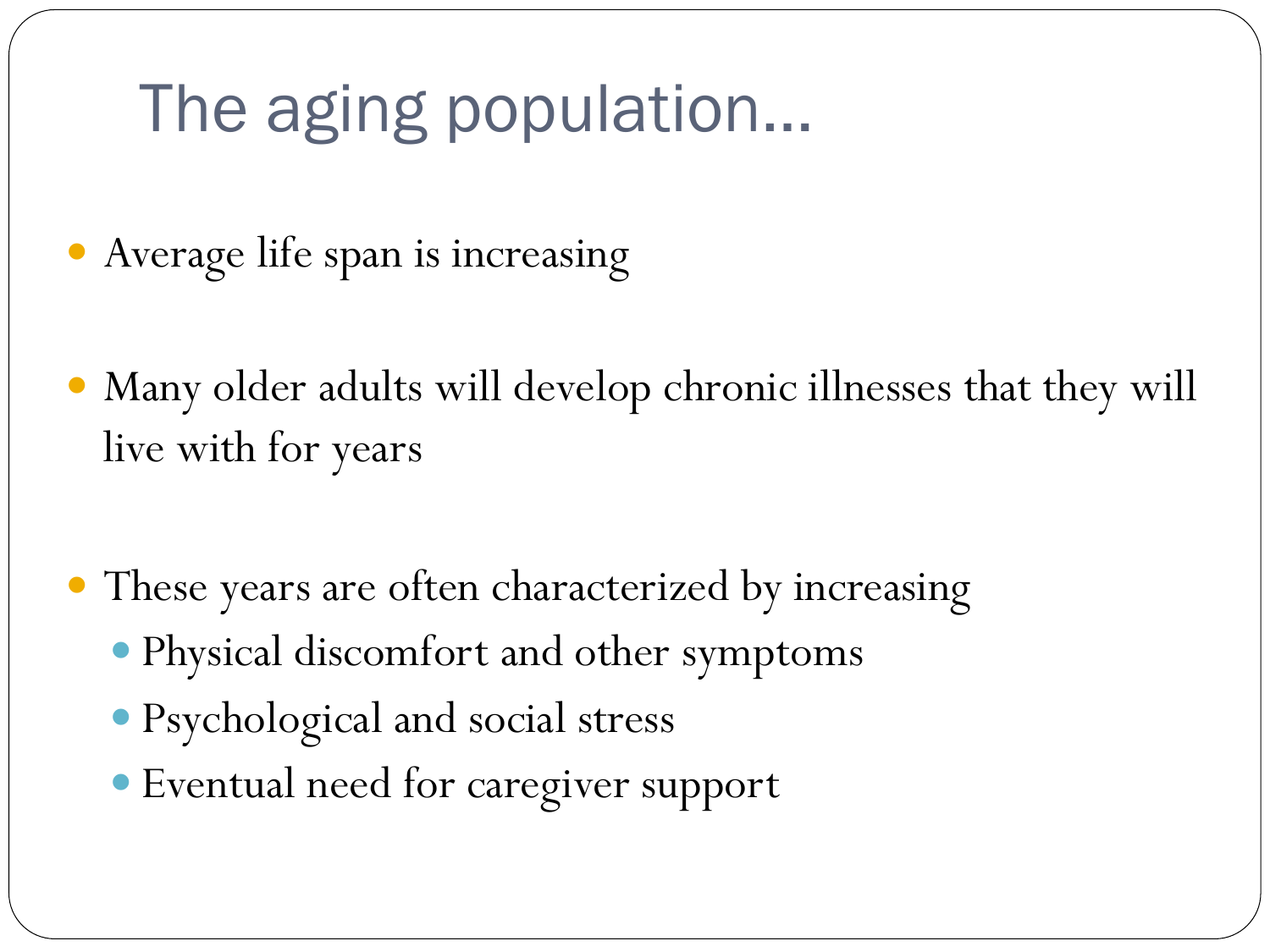## The aging population…

- Average life span is increasing
- Many older adults will develop chronic illnesses that they will live with for years
- These years are often characterized by increasing
	- Physical discomfort and other symptoms
	- Psychological and social stress
	- Eventual need for caregiver support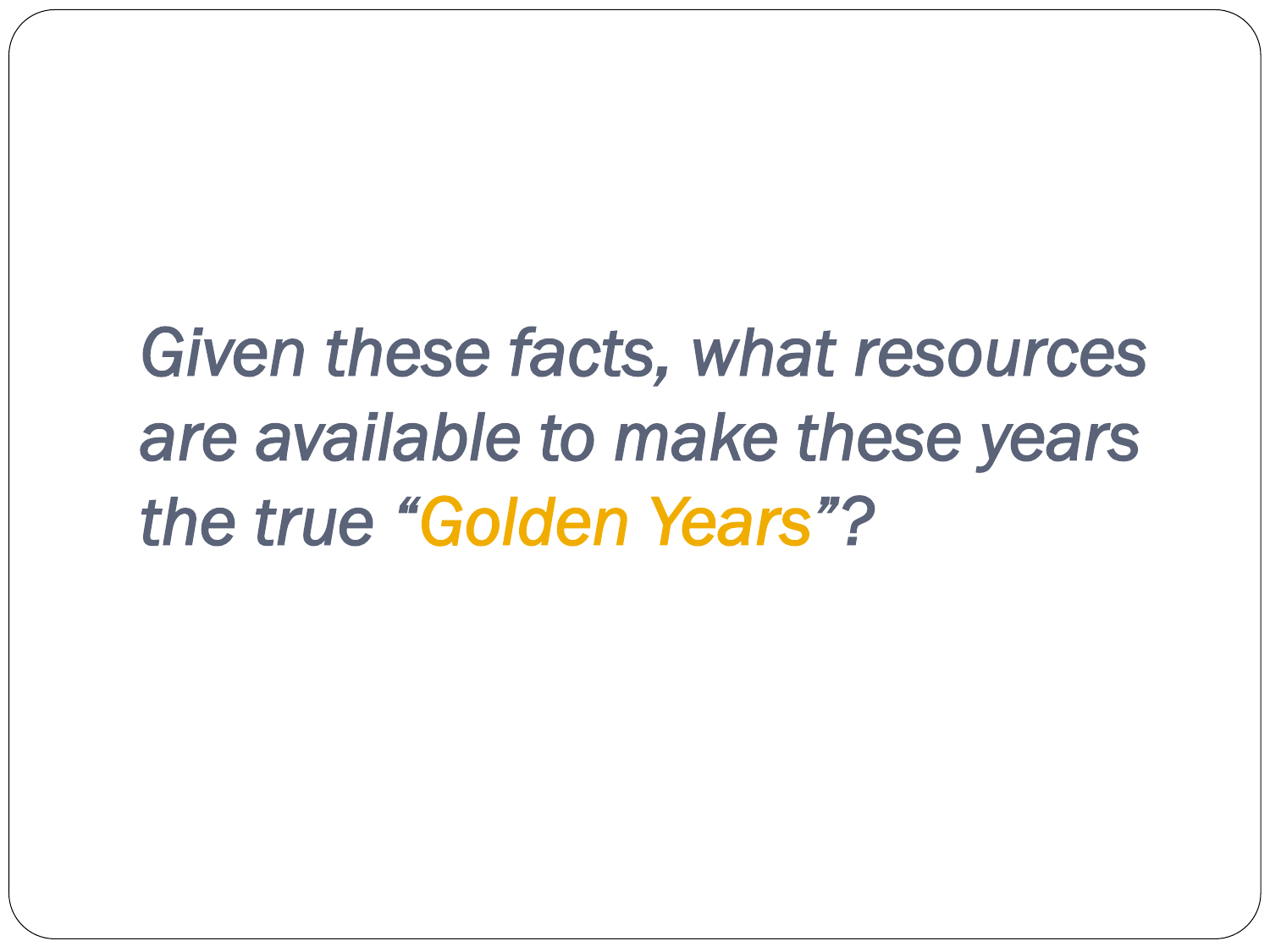## *Given these facts, what resources are available to make these years the true "Golden Years"?*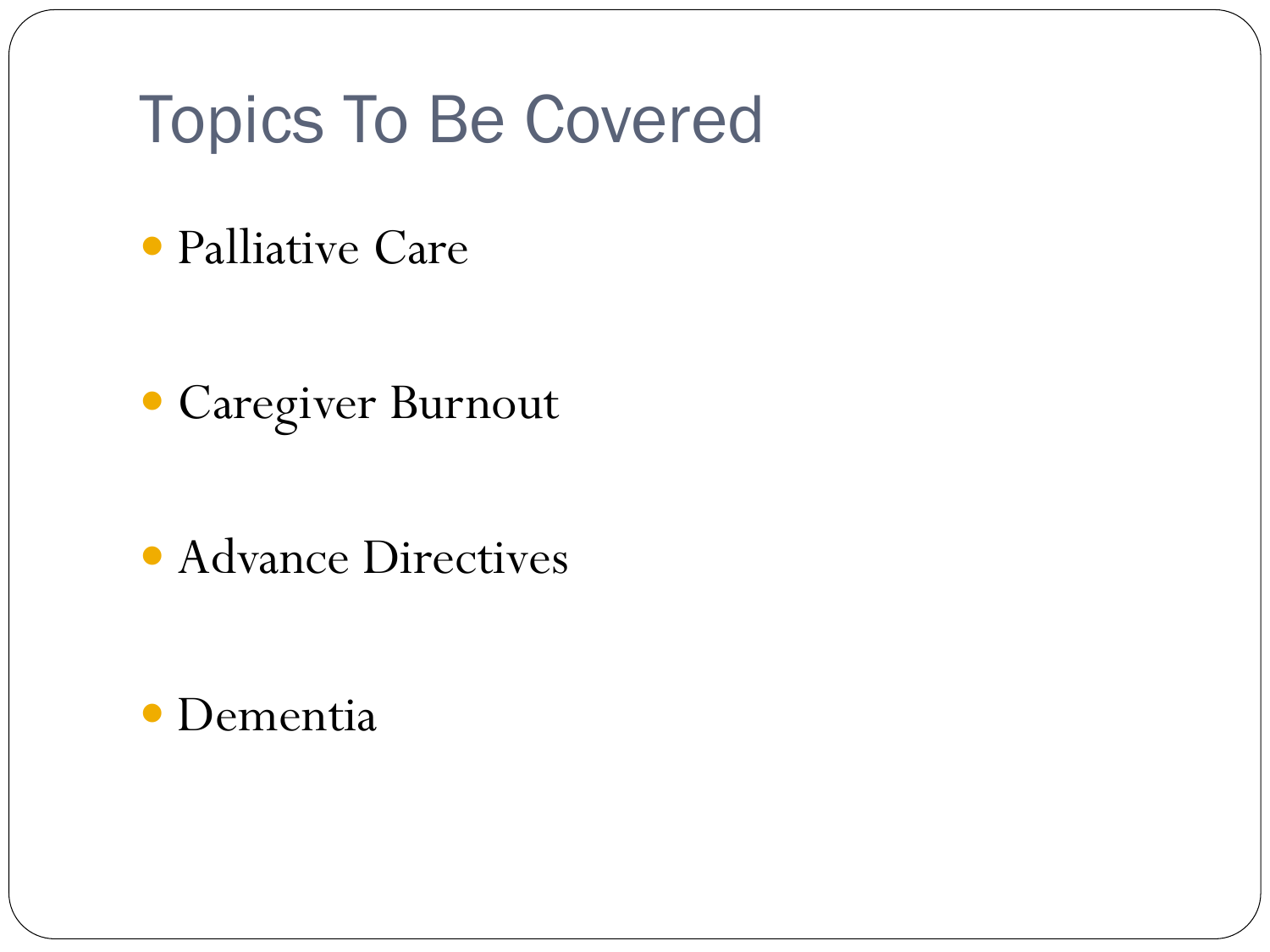## Topics To Be Covered

Palliative Care

Caregiver Burnout

• Advance Directives

#### Dementia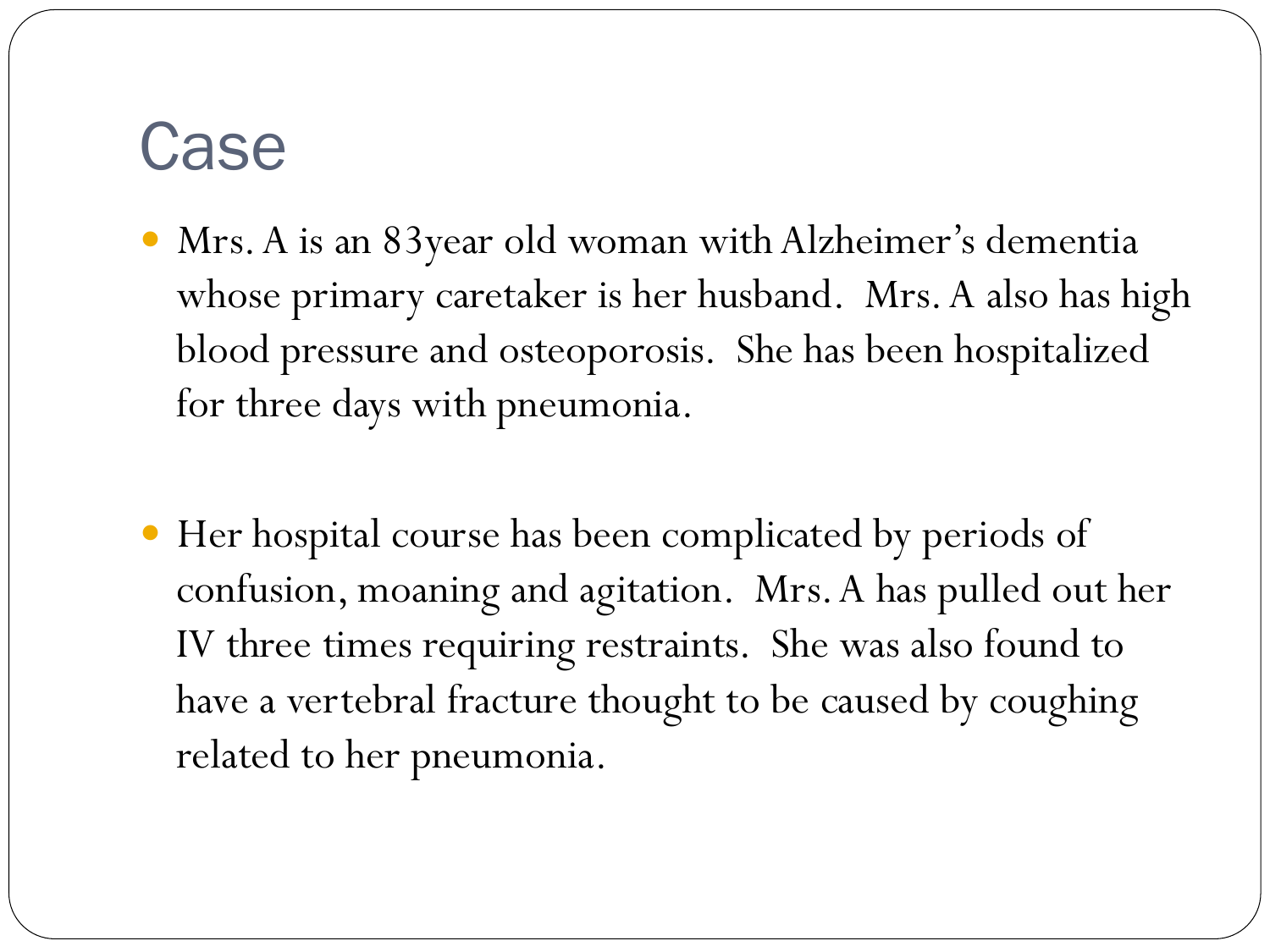### Case

- Mrs. A is an 83year old woman with Alzheimer's dementia whose primary caretaker is her husband. Mrs. A also has high blood pressure and osteoporosis. She has been hospitalized for three days with pneumonia.
- Her hospital course has been complicated by periods of confusion, moaning and agitation. Mrs. A has pulled out her IV three times requiring restraints. She was also found to have a vertebral fracture thought to be caused by coughing related to her pneumonia.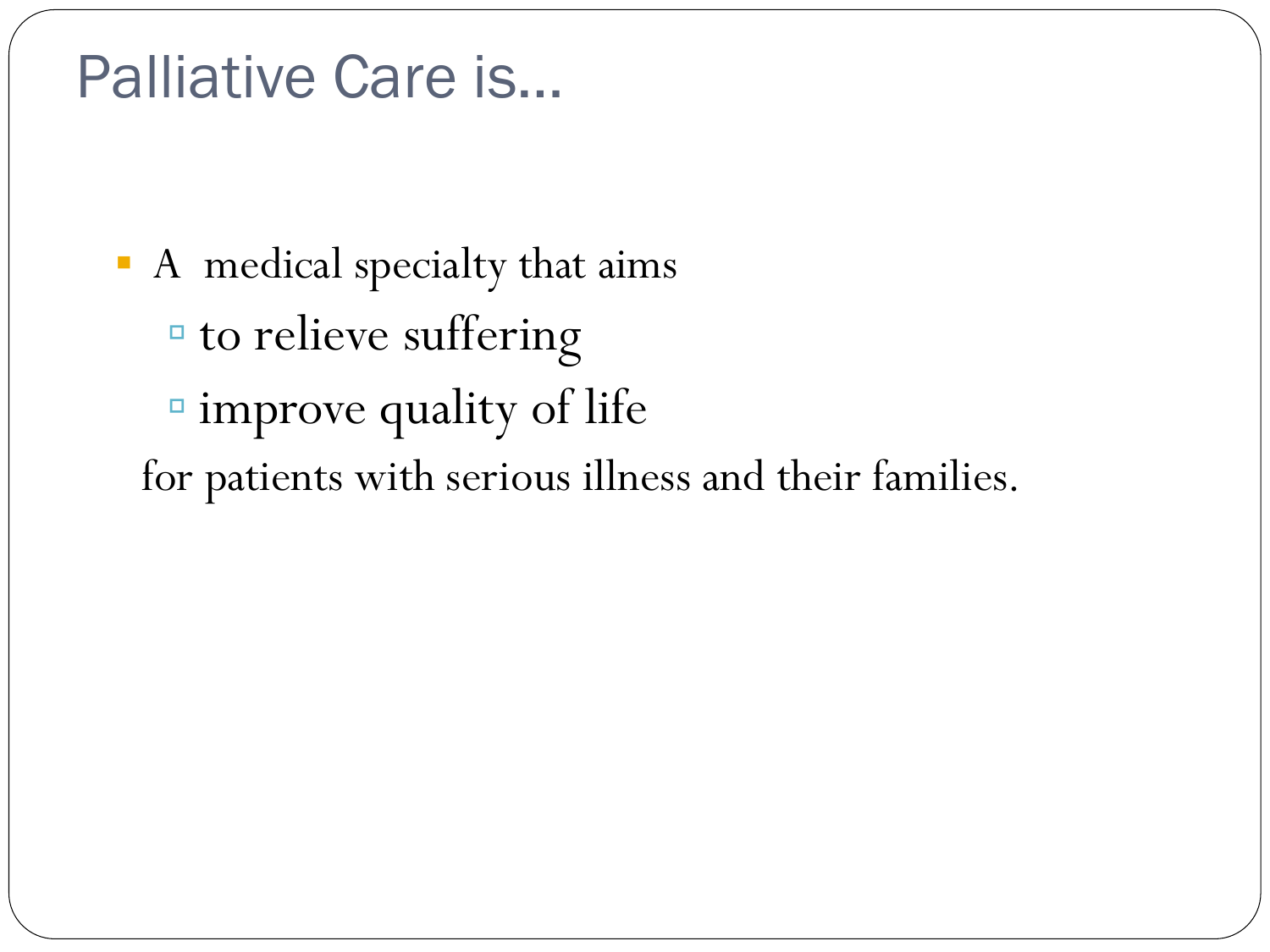#### Palliative Care is…

! A medical specialty that aims <sup>"</sup> to relieve suffering " improve quality of life for patients with serious illness and their families.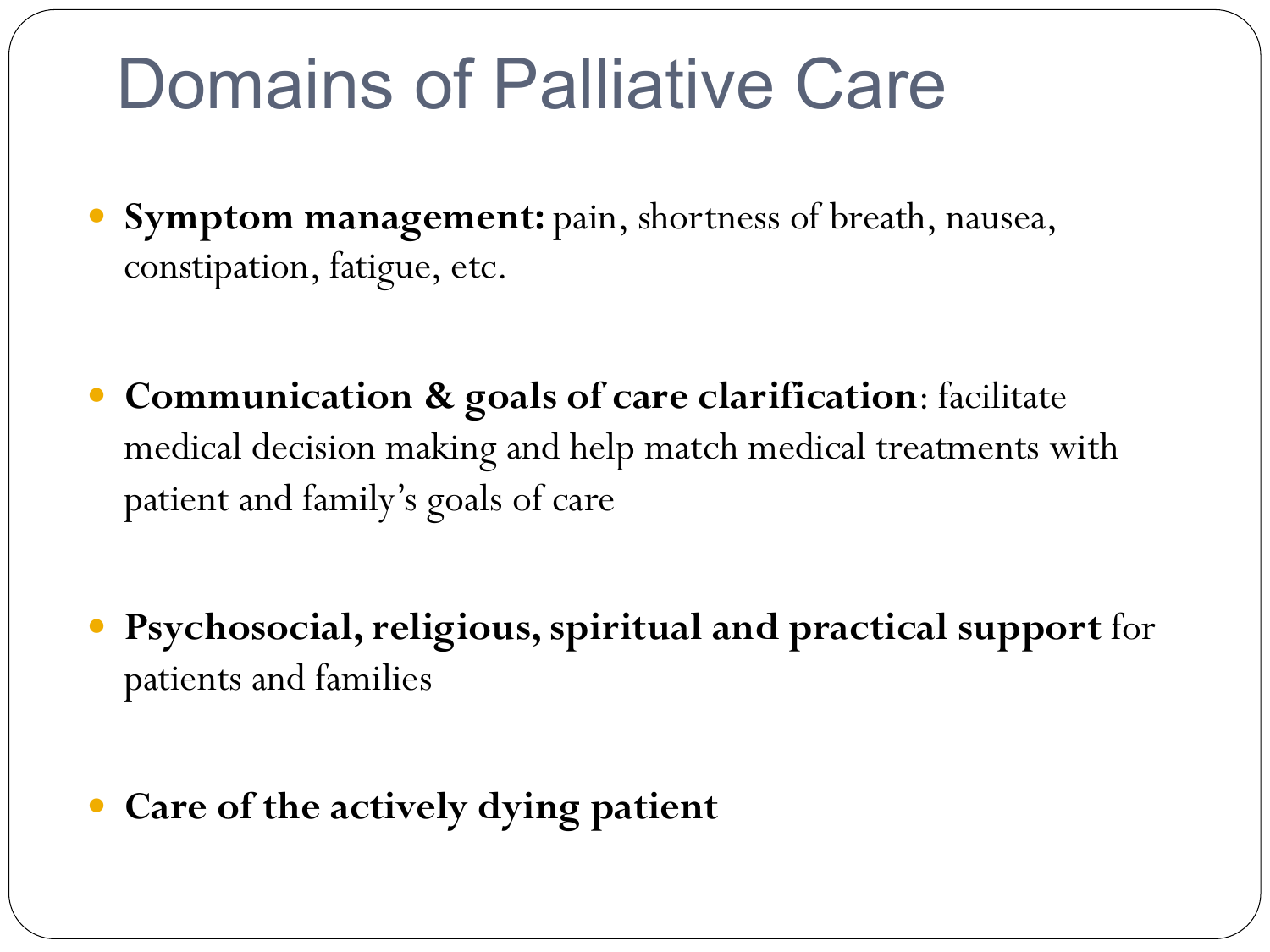## Domains of Palliative Care

- **Symptom management:** pain, shortness of breath, nausea, constipation, fatigue, etc.
- **Communication & goals of care clarification**: facilitate medical decision making and help match medical treatments with patient and family's goals of care
- **Psychosocial, religious, spiritual and practical support** for patients and families
- **Care of the actively dying patient**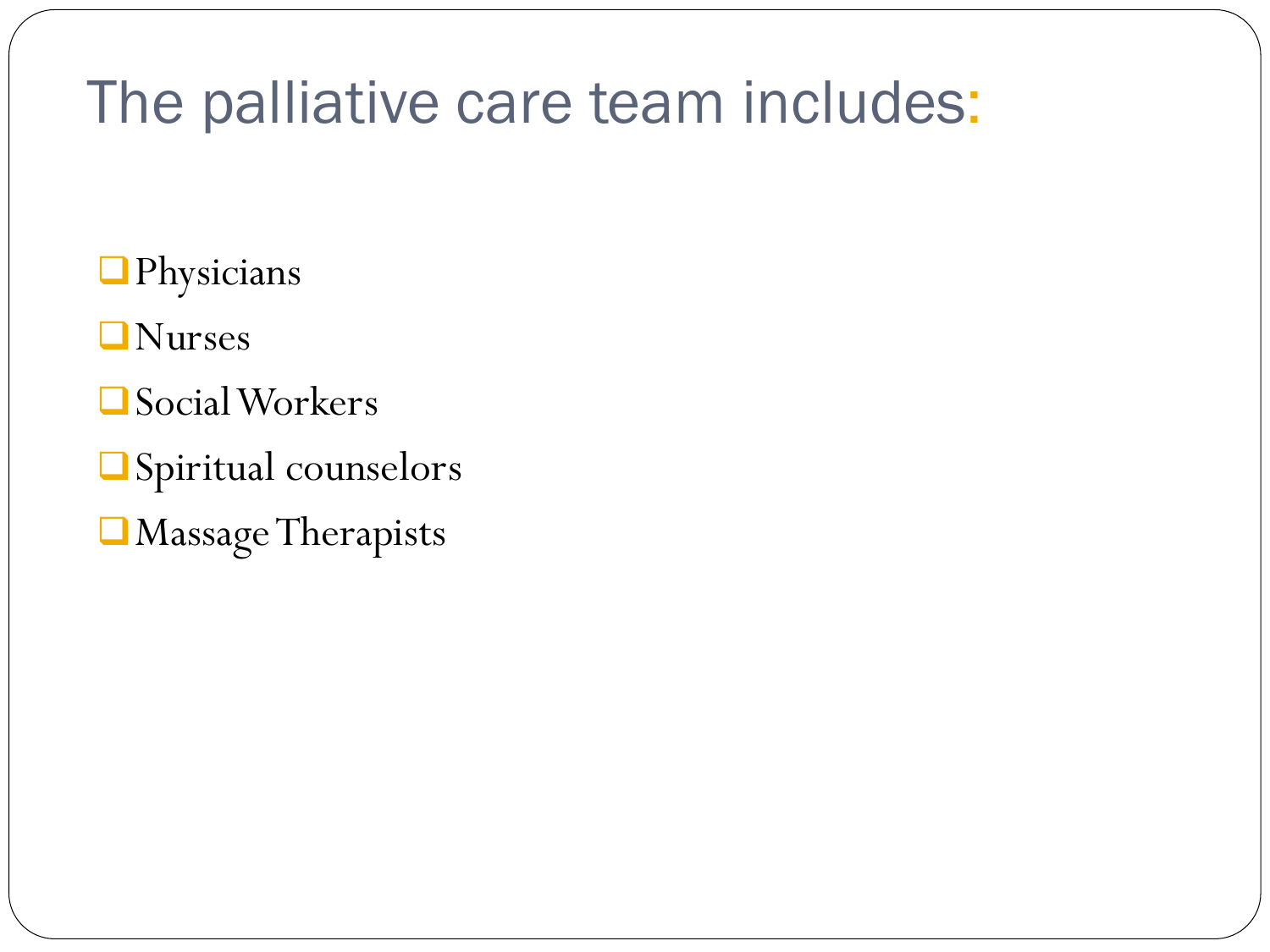#### The palliative care team includes:

**D**Physicians

**ONurses** 

Social Workers

 $\Box$  Spiritual counselors

Massage Therapists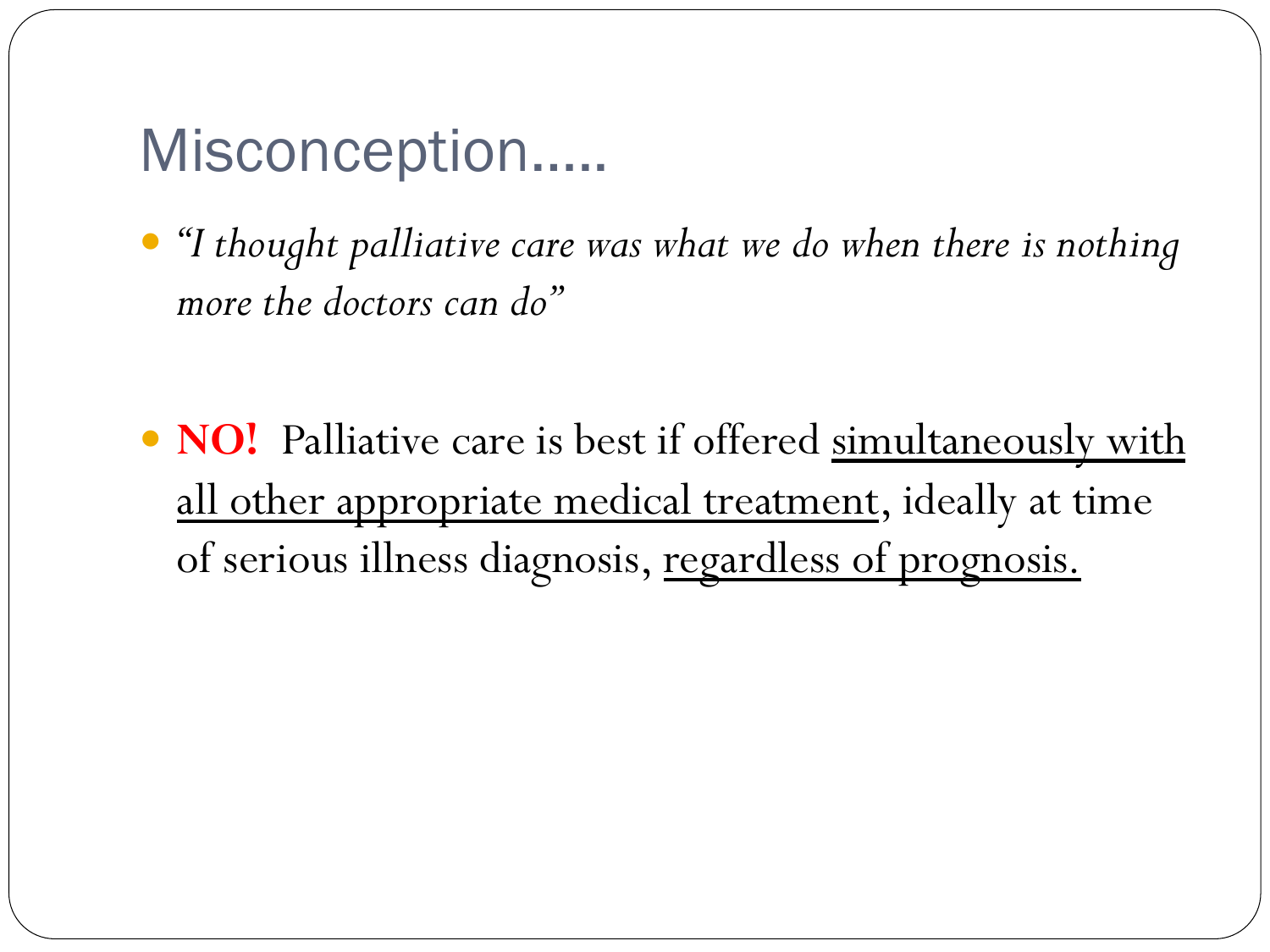#### Misconception…..

- *"I thought palliative care was what we do when there is nothing more the doctors can do"*
- **NO!** Palliative care is best if offered simultaneously with all other appropriate medical treatment, ideally at time of serious illness diagnosis, regardless of prognosis.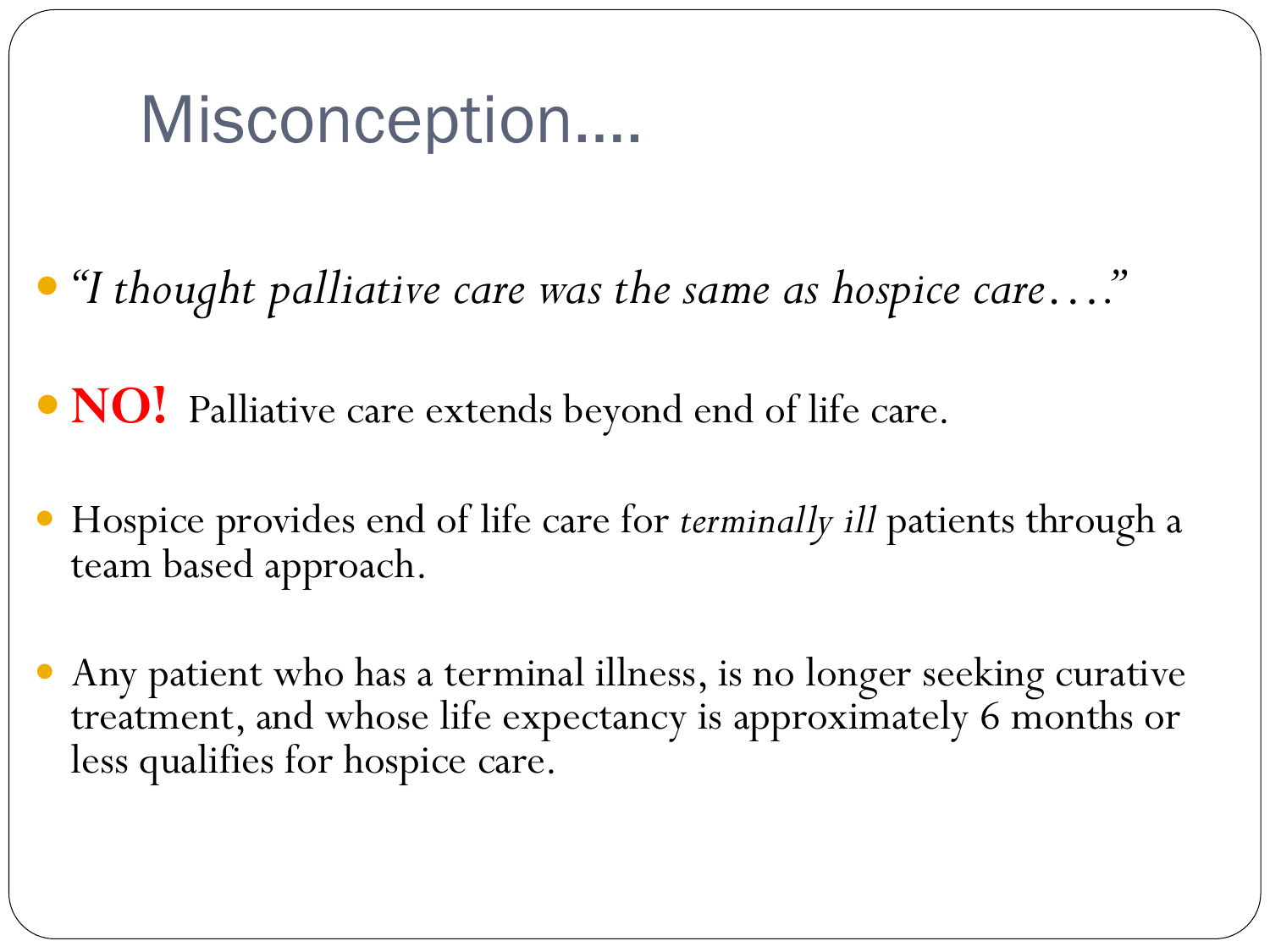## Misconception….

- *"I thought palliative care was the same as hospice care…."*
- **NO!** Palliative care extends beyond end of life care.
- Hospice provides end of life care for *terminally ill* patients through a team based approach.
- Any patient who has a terminal illness, is no longer seeking curative treatment, and whose life expectancy is approximately 6 months or less qualifies for hospice care.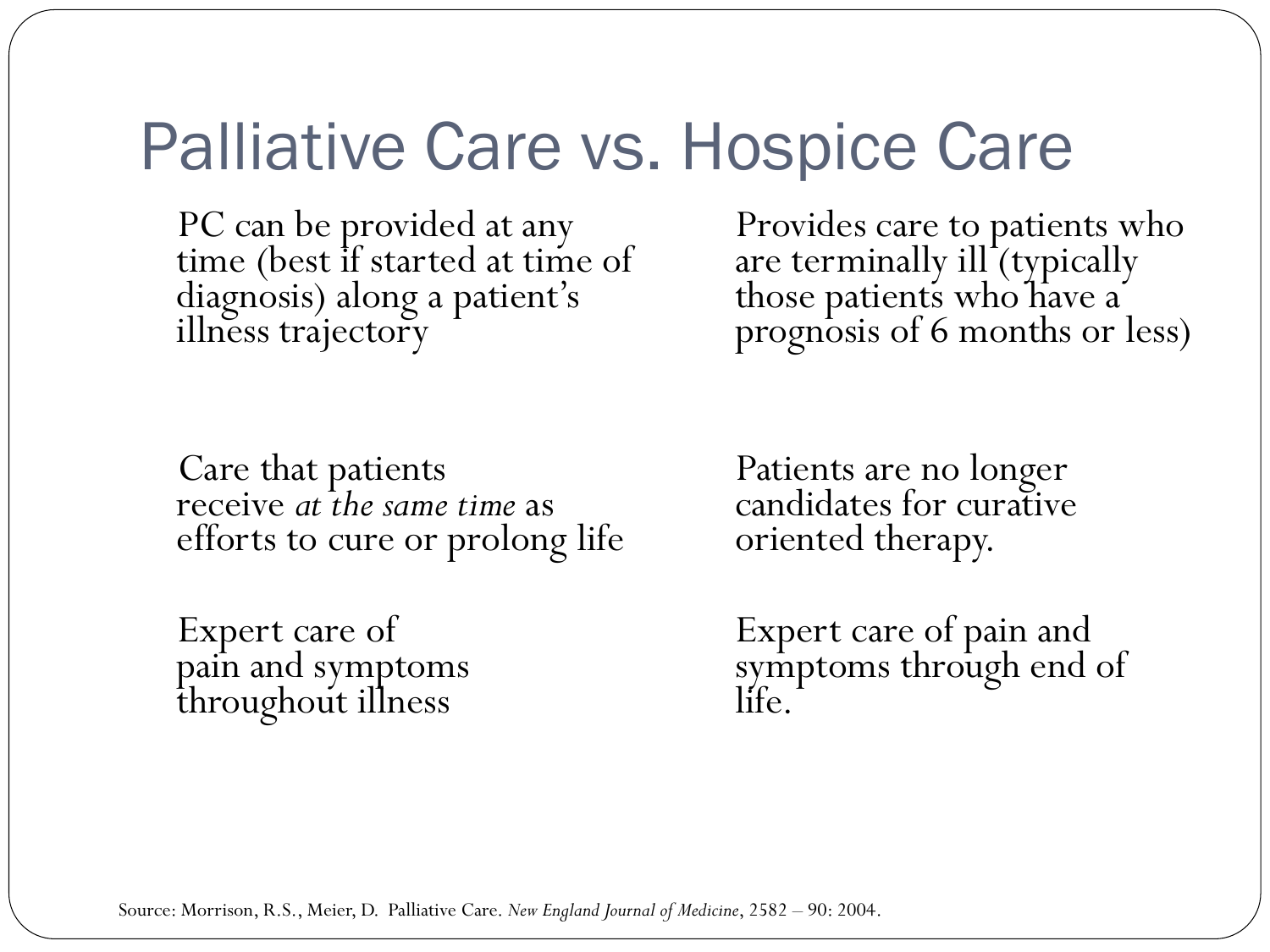#### Palliative Care vs. Hospice Care

 PC can be provided at any time (best if started at time of diagnosis) along a patient's illness trajectory

 Provides care to patients who are terminally ill (typically those patients who have a prognosis of 6 months or less)

 Care that patients receive *at the same time* as efforts to cure or prolong life

 Expert care of pain and symptoms throughout illness

 Patients are no longer candidates for curative oriented therapy.

 Expert care of pain and symptoms through end of life.

Source: Morrison, R.S., Meier, D. Palliative Care. *New England Journal of Medicine*, 2582 – 90: 2004.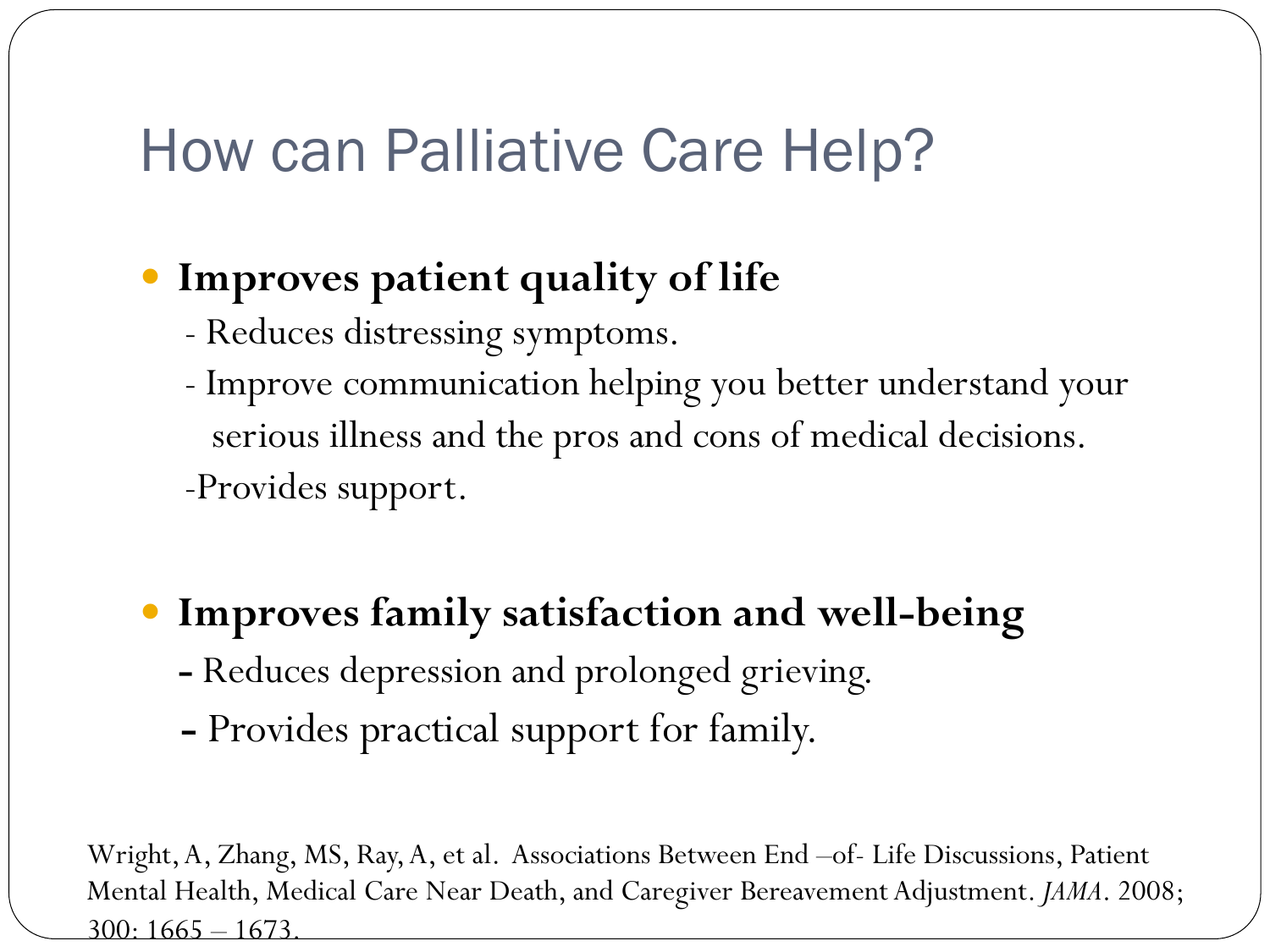#### How can Palliative Care Help?

#### **Improves patient quality of life**

- Reduces distressing symptoms.
- Improve communication helping you better understand your serious illness and the pros and cons of medical decisions. -Provides support.

#### **Improves family satisfaction and well-being**

- Reduces depression and prolonged grieving.
- Provides practical support for family.

Wright, A, Zhang, MS, Ray, A, et al. Associations Between End –of- Life Discussions, Patient Mental Health, Medical Care Near Death, and Caregiver Bereavement Adjustment. *JAMA*. 2008; 300: 1665 – 1673.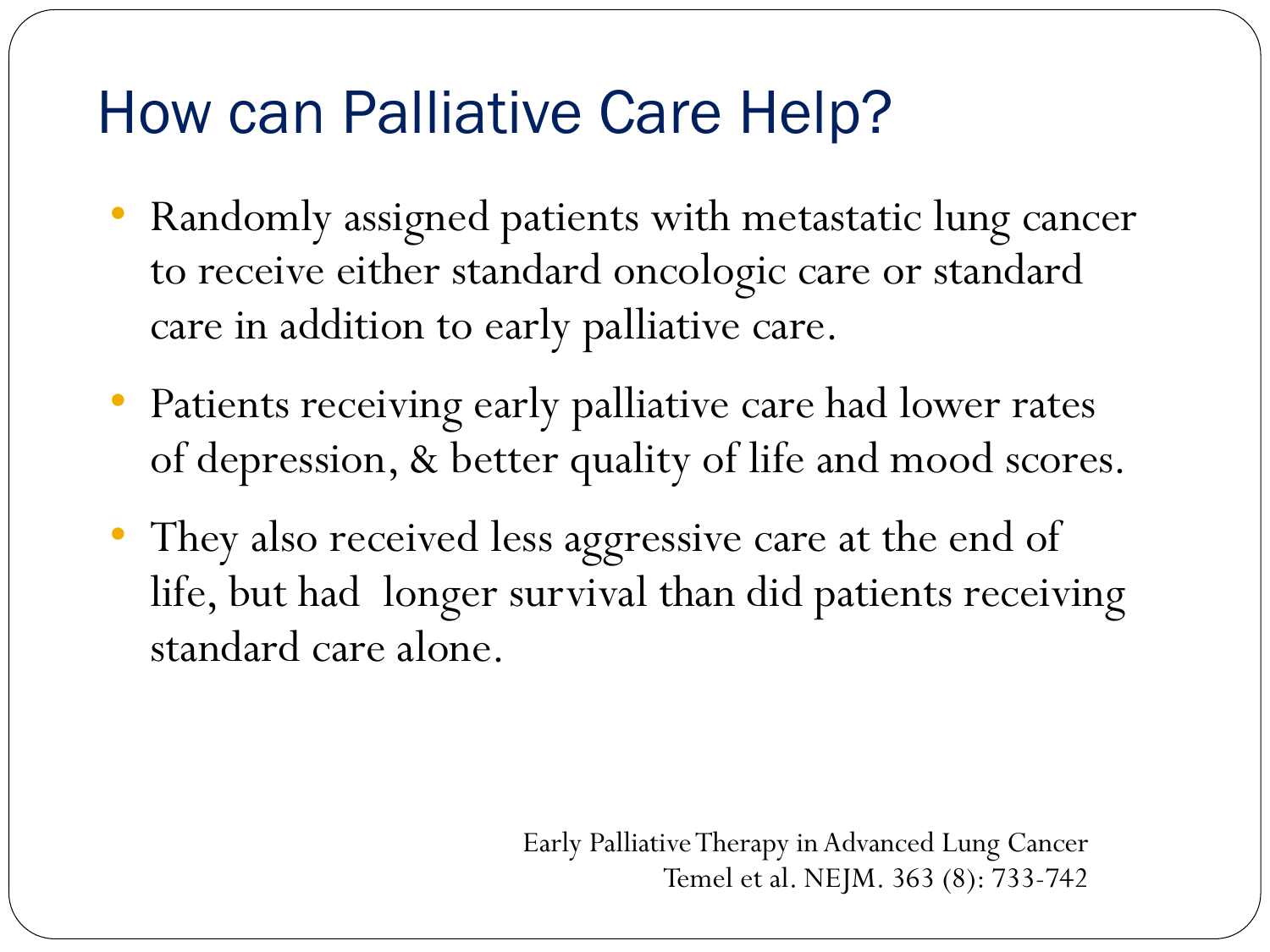## How can Palliative Care Help?

- Randomly assigned patients with metastatic lung cancer to receive either standard oncologic care or standard care in addition to early palliative care.
- Patients receiving early palliative care had lower rates of depression, & better quality of life and mood scores.
- They also received less aggressive care at the end of life, but had longer survival than did patients receiving standard care alone.

Early Palliative Therapy in Advanced Lung Cancer Temel et al. NEJM. 363 (8): 733-742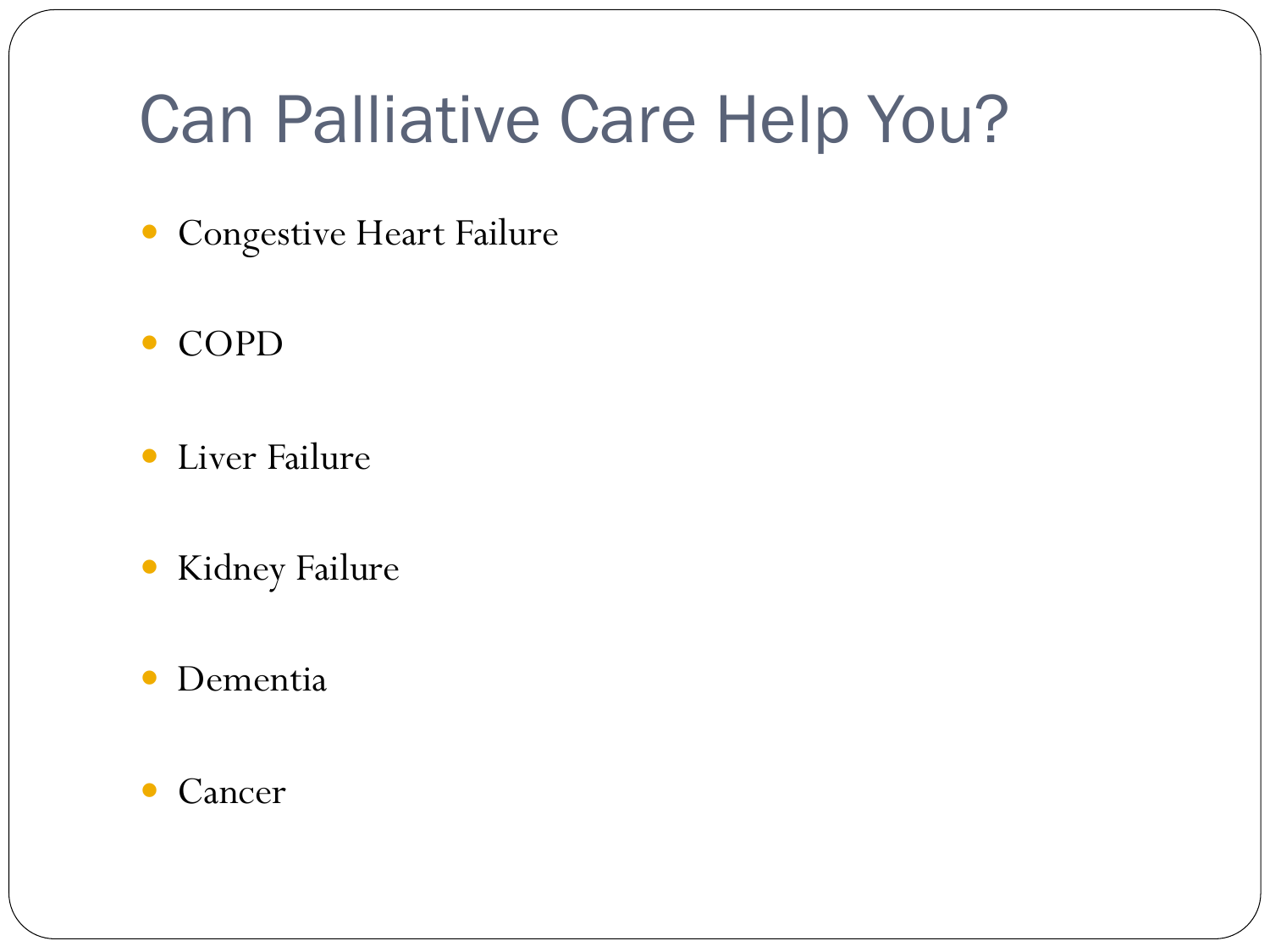## Can Palliative Care Help You?

- Congestive Heart Failure
- COPD
- Liver Failure
- Kidney Failure
- Dementia
- Cancer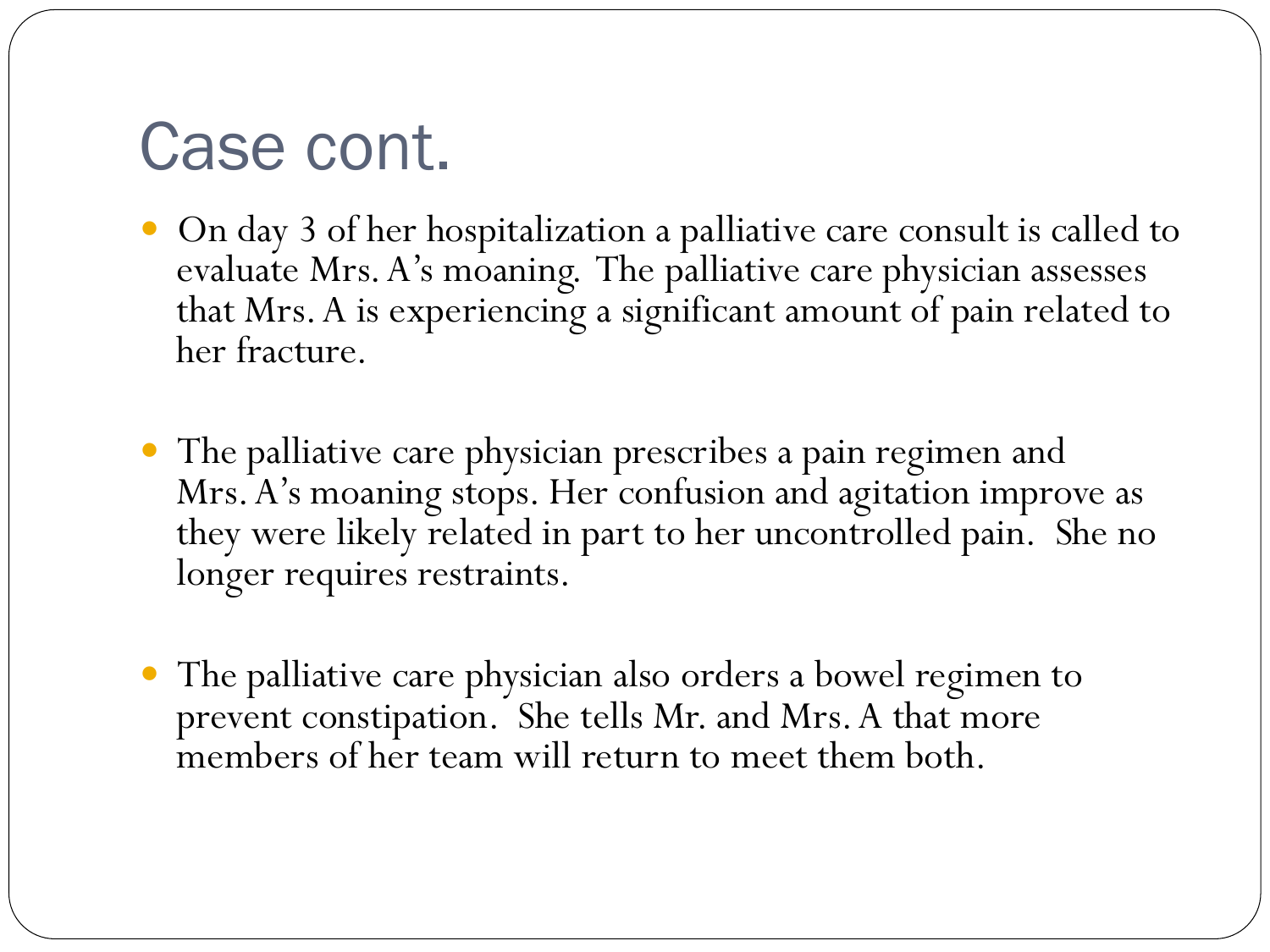## Case cont.

- On day 3 of her hospitalization a palliative care consult is called to evaluate Mrs. A's moaning. The palliative care physician assesses that Mrs. A is experiencing a significant amount of pain related to her fracture.
- The palliative care physician prescribes a pain regimen and Mrs. A's moaning stops. Her confusion and agitation improve as they were likely related in part to her uncontrolled pain. She no longer requires restraints.
- The palliative care physician also orders a bowel regimen to prevent constipation. She tells Mr. and Mrs. A that more members of her team will return to meet them both.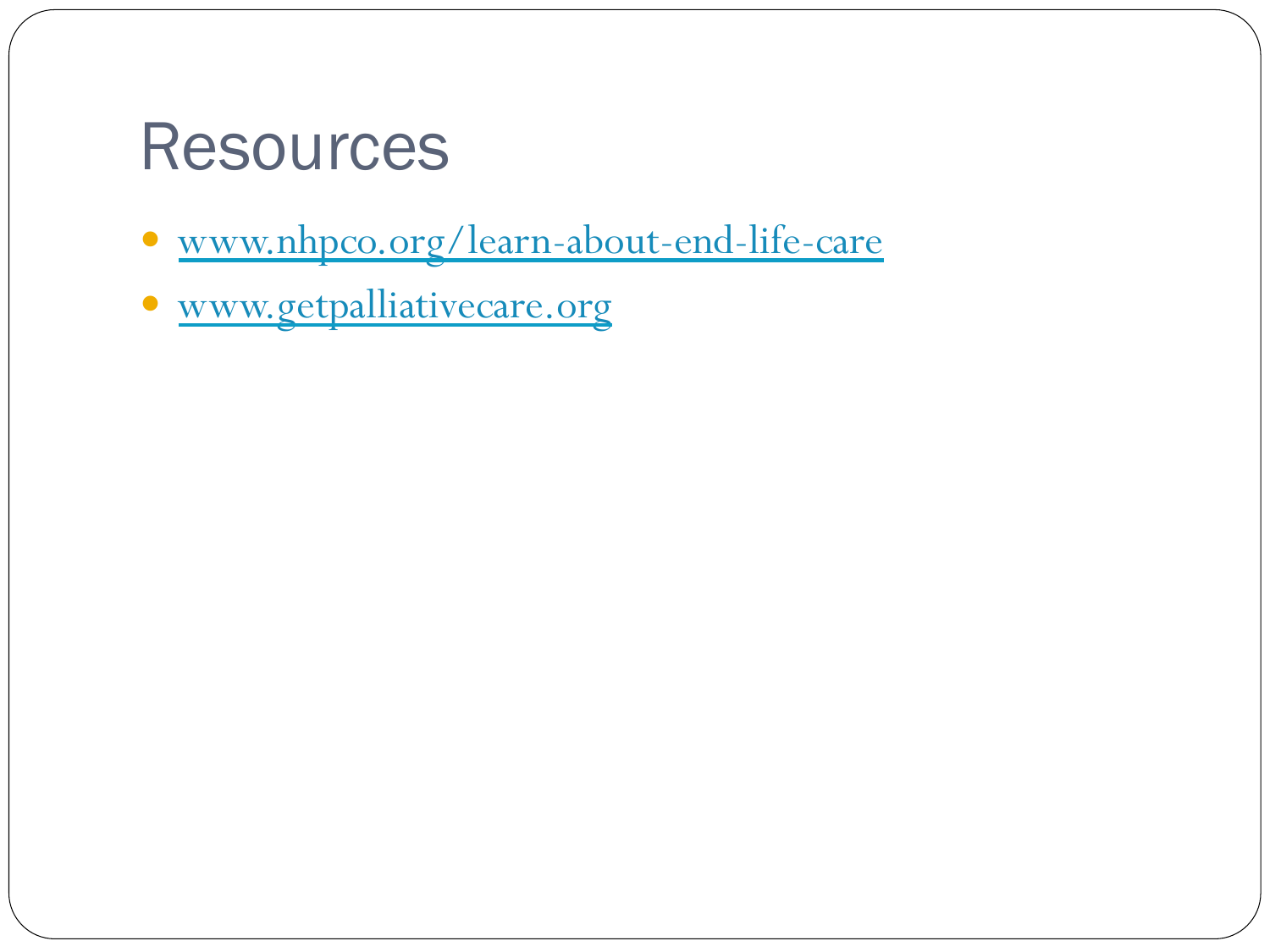### **Resources**

- www.nhpco.org/learn-about-end-life-care
- www.getpalliativecare.org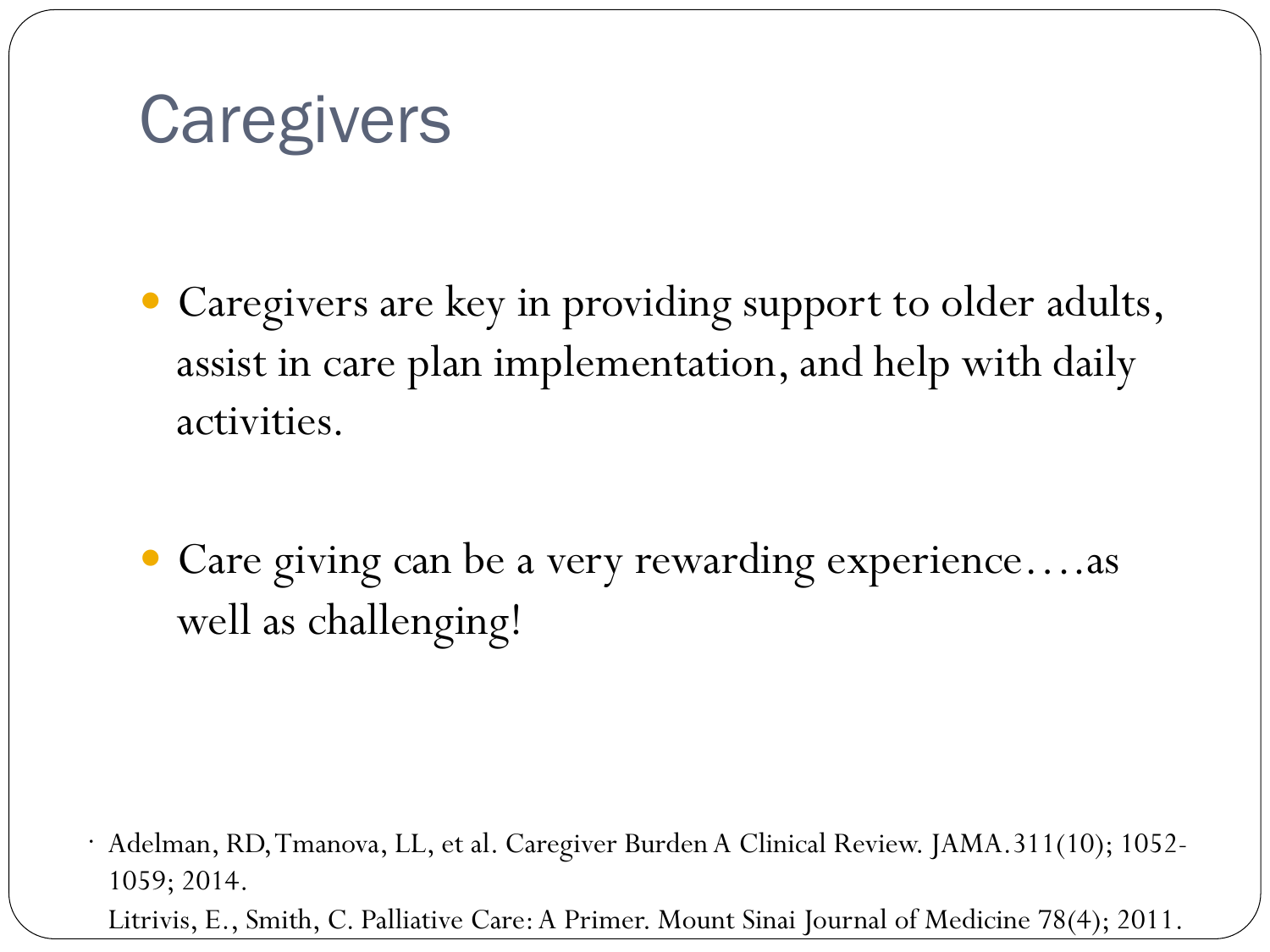## **Caregivers**

- Caregivers are key in providing support to older adults, assist in care plan implementation, and help with daily activities.
- Care giving can be a very rewarding experience….as well as challenging!

. Adelman, RD, Tmanova, LL, et al. Caregiver Burden A Clinical Review. JAMA.311(10); 1052- 1059; 2014. Litrivis, E., Smith, C. Palliative Care: A Primer. Mount Sinai Journal of Medicine 78(4); 2011.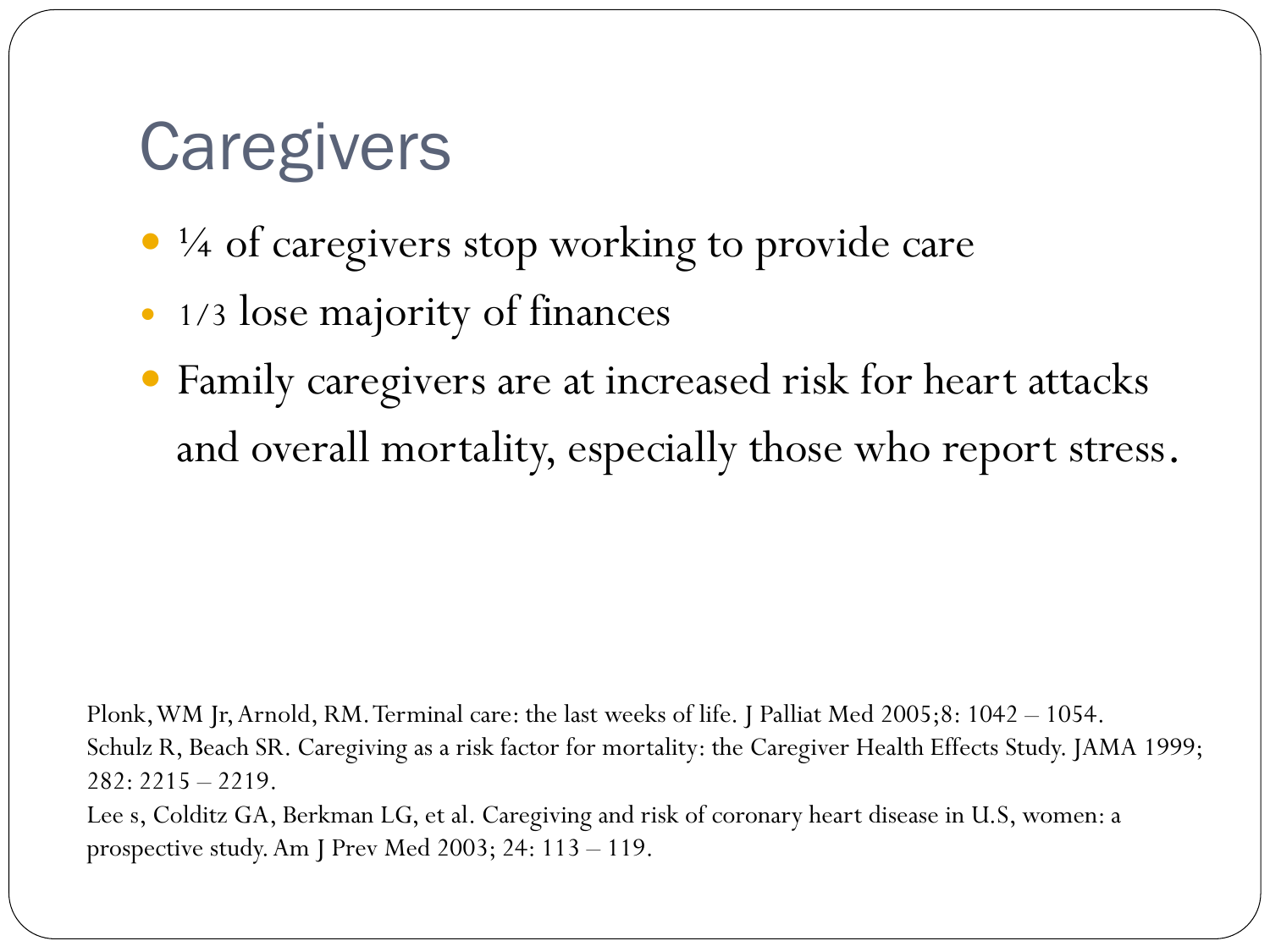## **Caregivers**

- $\frac{1}{4}$  of caregivers stop working to provide care
- 1/3 lose majority of finances
- Family caregivers are at increased risk for heart attacks and overall mortality, especially those who report stress.

Plonk, WM Jr, Arnold, RM. Terminal care: the last weeks of life. J Palliat Med 2005;8: 1042 – 1054. Schulz R, Beach SR. Caregiving as a risk factor for mortality: the Caregiver Health Effects Study. JAMA 1999;  $282: 2215 - 2219.$ 

Lee s, Colditz GA, Berkman LG, et al. Caregiving and risk of coronary heart disease in U.S, women: a prospective study. Am J Prev Med 2003; 24: 113 – 119.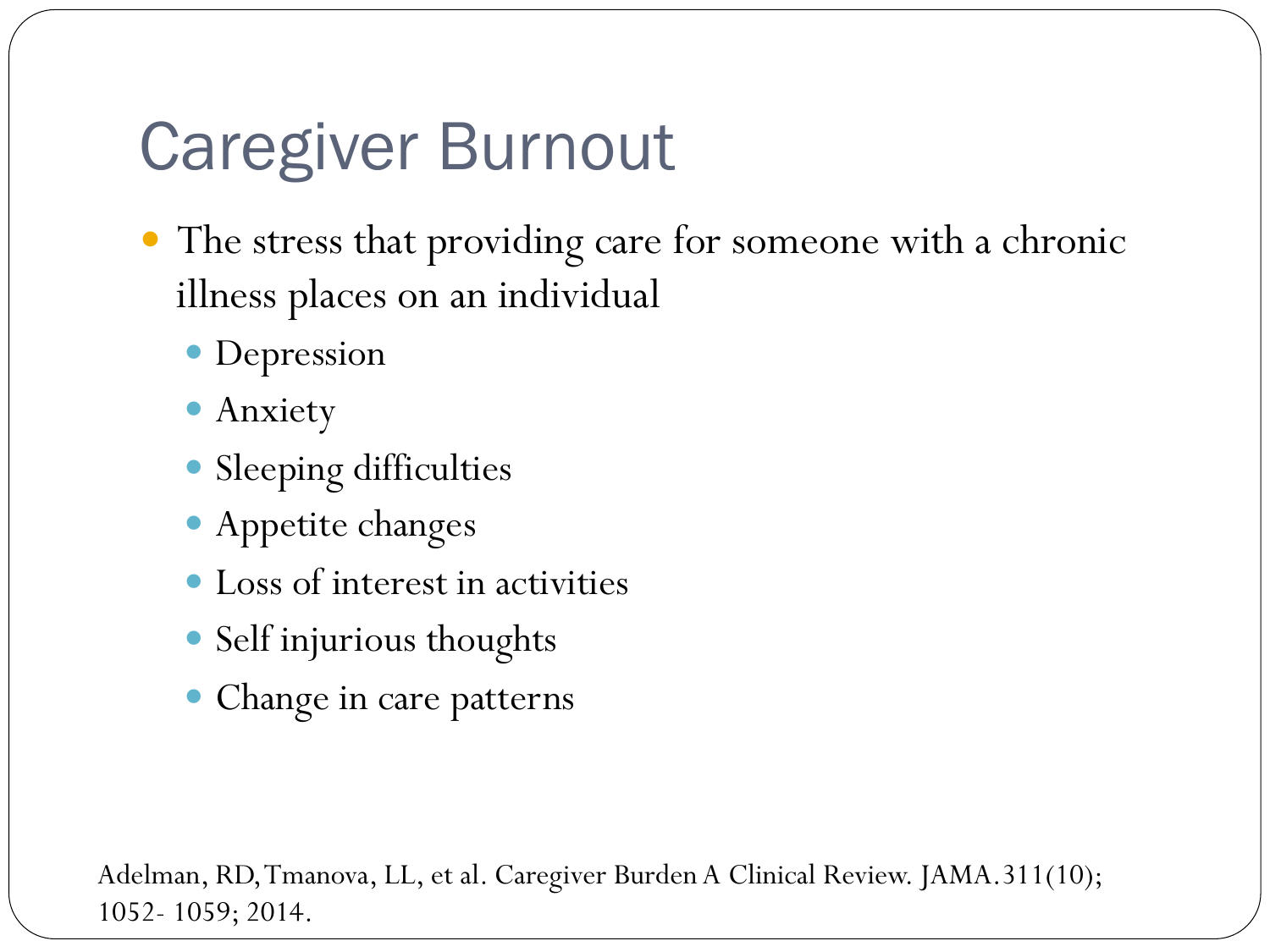## Caregiver Burnout

- The stress that providing care for someone with a chronic illness places on an individual
	- Depression
	- Anxiety
	- Sleeping difficulties
	- Appetite changes
	- Loss of interest in activities
	- Self injurious thoughts
	- Change in care patterns

Adelman, RD, Tmanova, LL, et al. Caregiver Burden A Clinical Review. JAMA.311(10); 1052- 1059; 2014.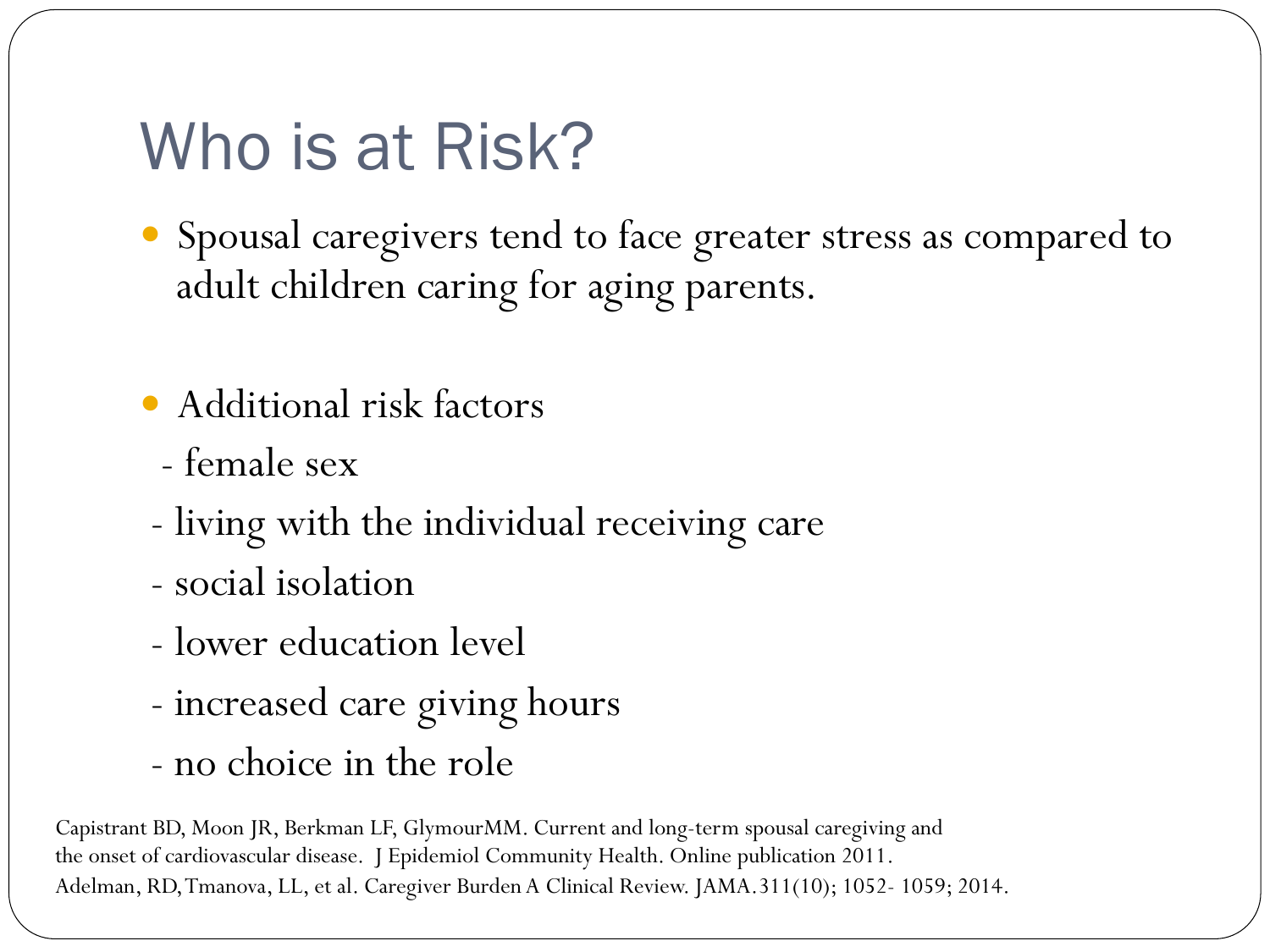## Who is at Risk?

- Spousal caregivers tend to face greater stress as compared to adult children caring for aging parents.
- Additional risk factors
	- female sex
- living with the individual receiving care
- social isolation
- lower education level
- increased care giving hours
- no choice in the role

Capistrant BD, Moon JR, Berkman LF, GlymourMM. Current and long-term spousal caregiving and the onset of cardiovascular disease. J Epidemiol Community Health. Online publication 2011. Adelman, RD, Tmanova, LL, et al. Caregiver Burden A Clinical Review. JAMA.311(10); 1052- 1059; 2014.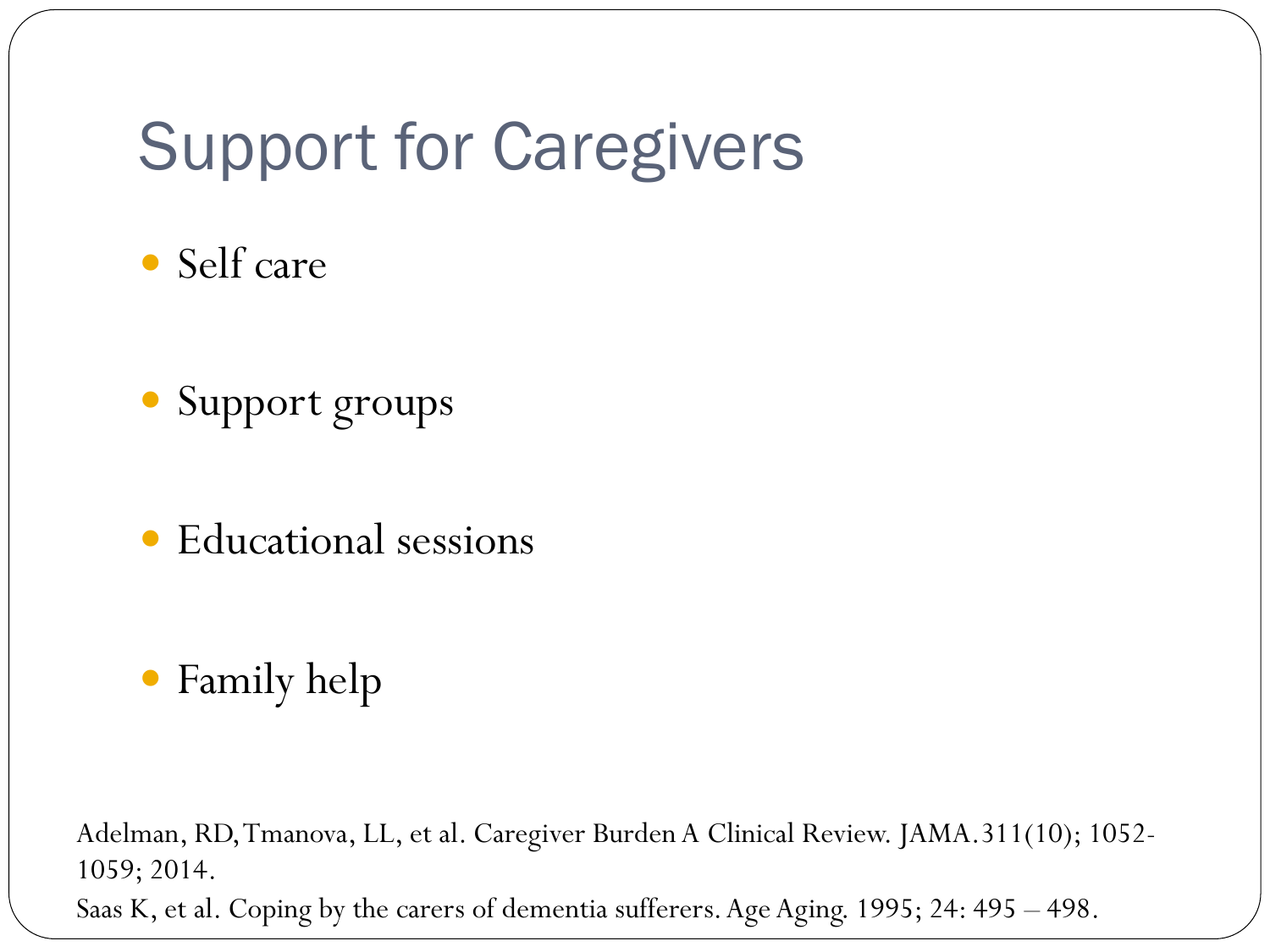## Support for Caregivers

- Self care
- Support groups
- Educational sessions
- Family help

Adelman, RD, Tmanova, LL, et al. Caregiver Burden A Clinical Review. JAMA.311(10); 1052- 1059; 2014. Saas K, et al. Coping by the carers of dementia sufferers. Age Aging. 1995; 24: 495 – 498.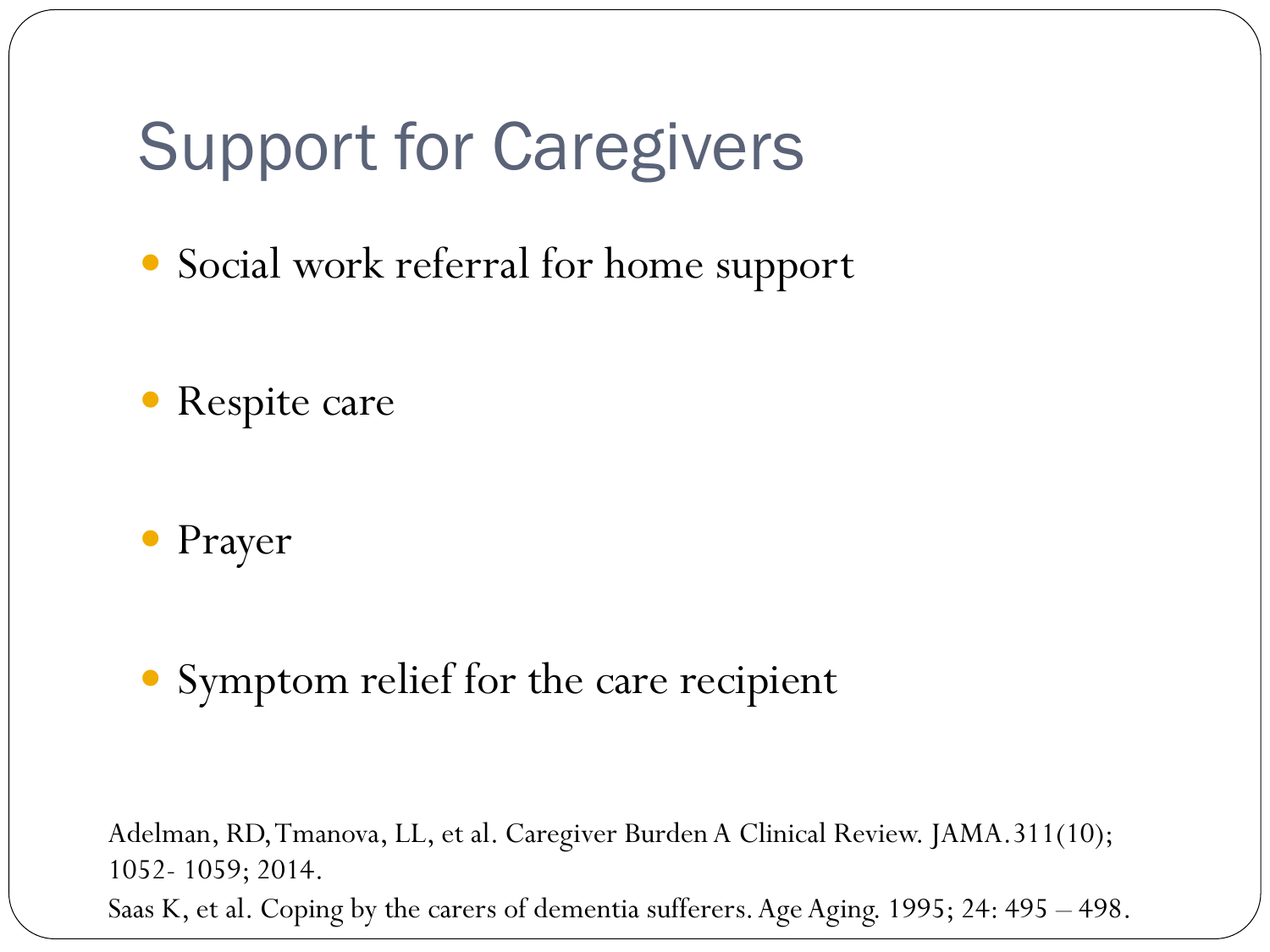## Support for Caregivers

- Social work referral for home support
- Respite care
- Prayer

#### Symptom relief for the care recipient

Adelman, RD, Tmanova, LL, et al. Caregiver Burden A Clinical Review. JAMA.311(10); 1052- 1059; 2014. Saas K, et al. Coping by the carers of dementia sufferers. Age Aging. 1995; 24: 495 – 498.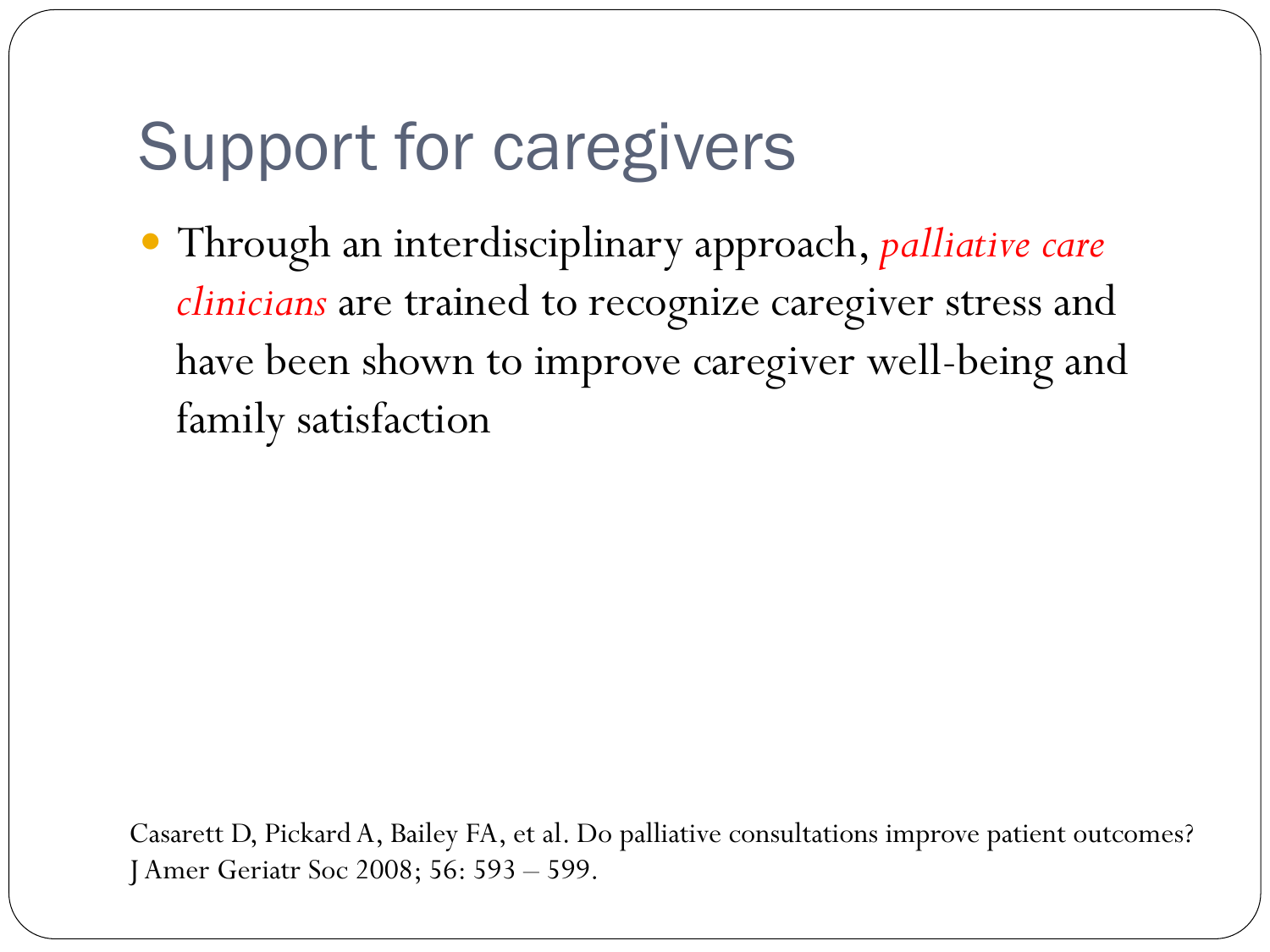## Support for caregivers

 Through an interdisciplinary approach, *palliative care clinicians* are trained to recognize caregiver stress and have been shown to improve caregiver well-being and family satisfaction

Casarett D, Pickard A, Bailey FA, et al. Do palliative consultations improve patient outcomes? J Amer Geriatr Soc 2008; 56: 593 – 599.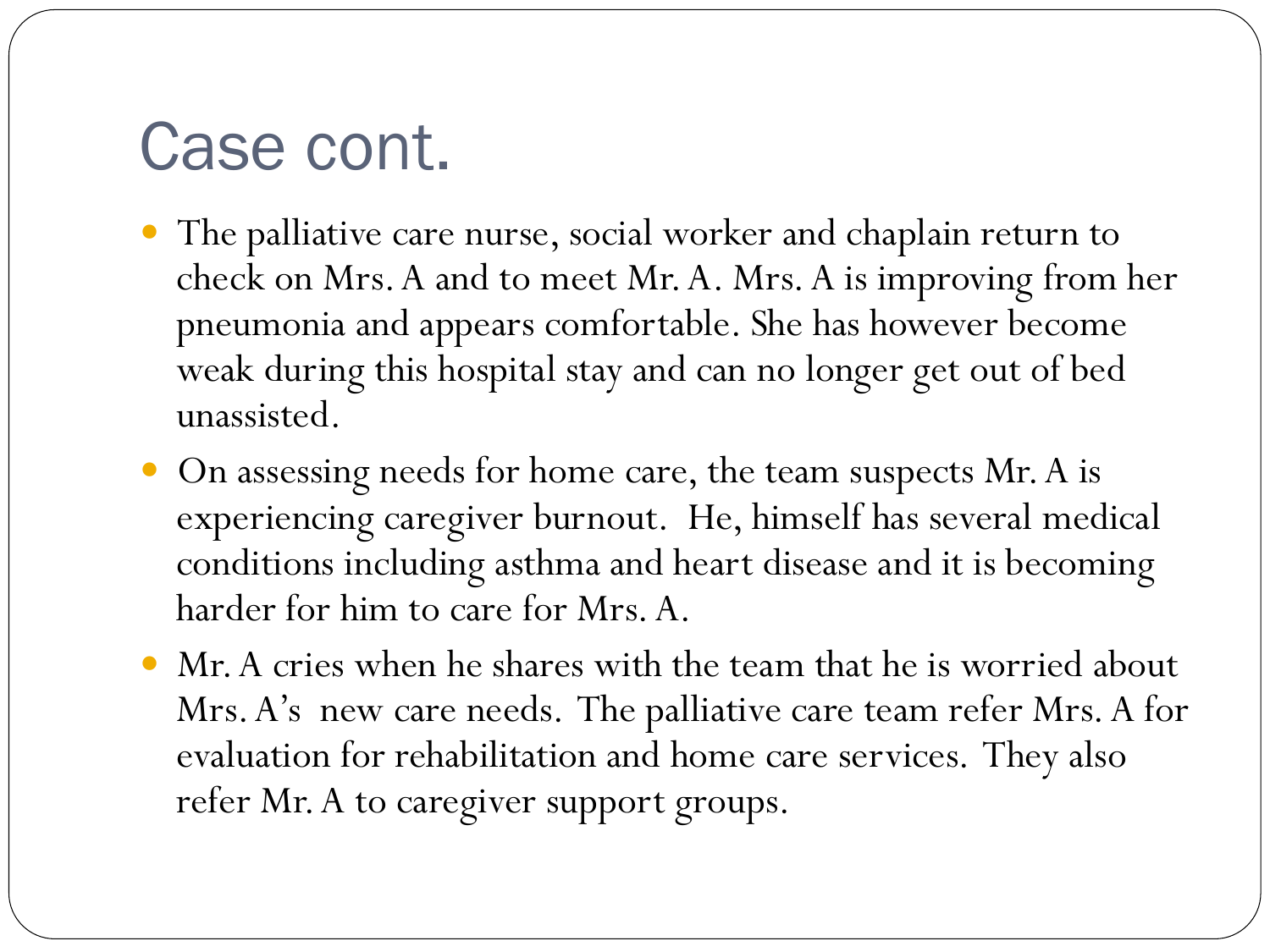## Case cont.

- The palliative care nurse, social worker and chaplain return to check on Mrs. A and to meet Mr. A. Mrs. A is improving from her pneumonia and appears comfortable. She has however become weak during this hospital stay and can no longer get out of bed unassisted.
- On assessing needs for home care, the team suspects Mr. A is experiencing caregiver burnout. He, himself has several medical conditions including asthma and heart disease and it is becoming harder for him to care for Mrs. A.
- Mr. A cries when he shares with the team that he is worried about Mrs. A's new care needs. The palliative care team refer Mrs. A for evaluation for rehabilitation and home care services. They also refer Mr. A to caregiver support groups.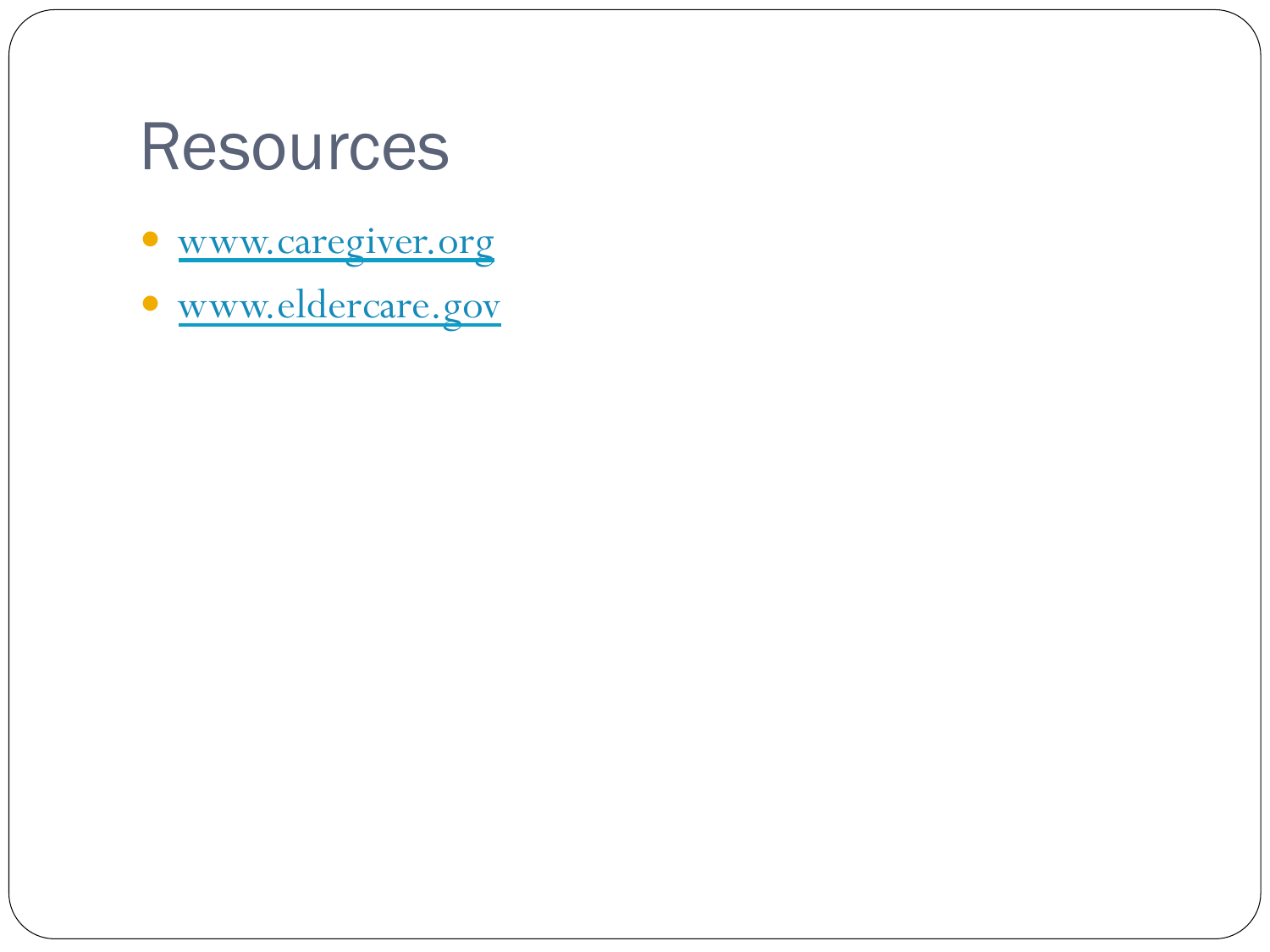### Resources

- www.caregiver.org
- www.eldercare.gov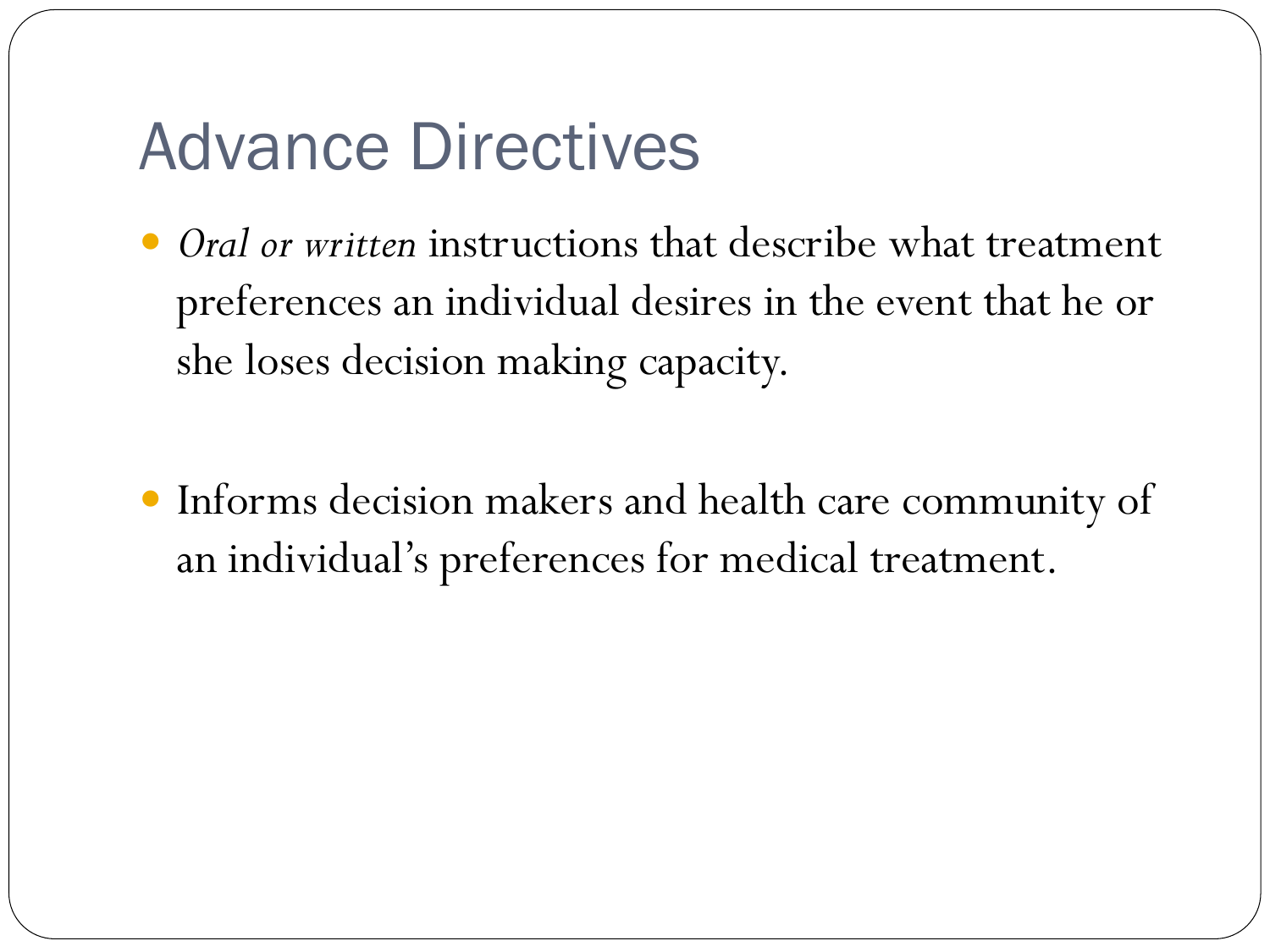## Advance Directives

- *Oral or written* instructions that describe what treatment preferences an individual desires in the event that he or she loses decision making capacity.
- Informs decision makers and health care community of an individual's preferences for medical treatment.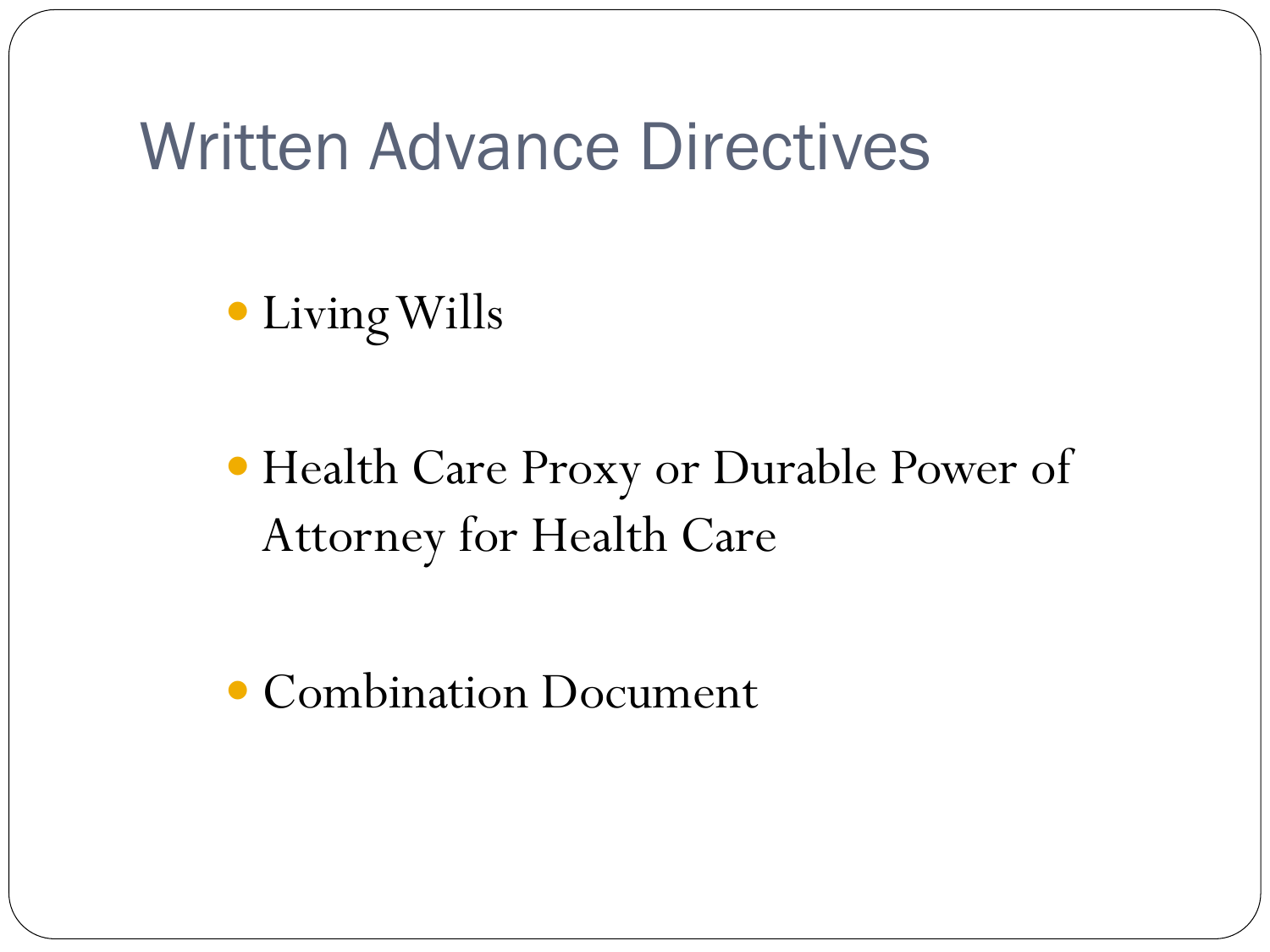#### Written Advance Directives

Living Wills

 Health Care Proxy or Durable Power of Attorney for Health Care

• Combination Document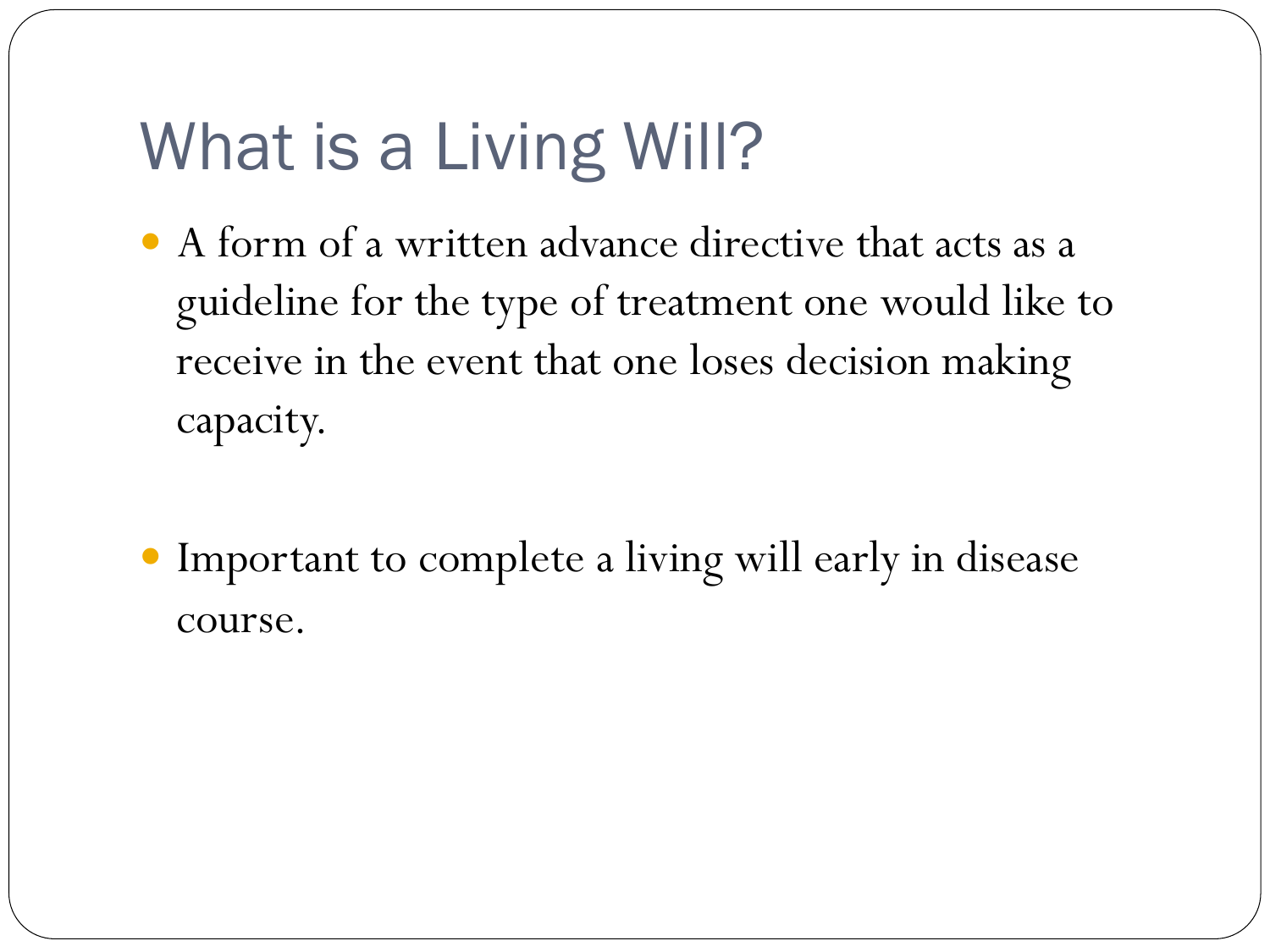## What is a Living Will?

- A form of a written advance directive that acts as a guideline for the type of treatment one would like to receive in the event that one loses decision making capacity.
- Important to complete a living will early in disease course.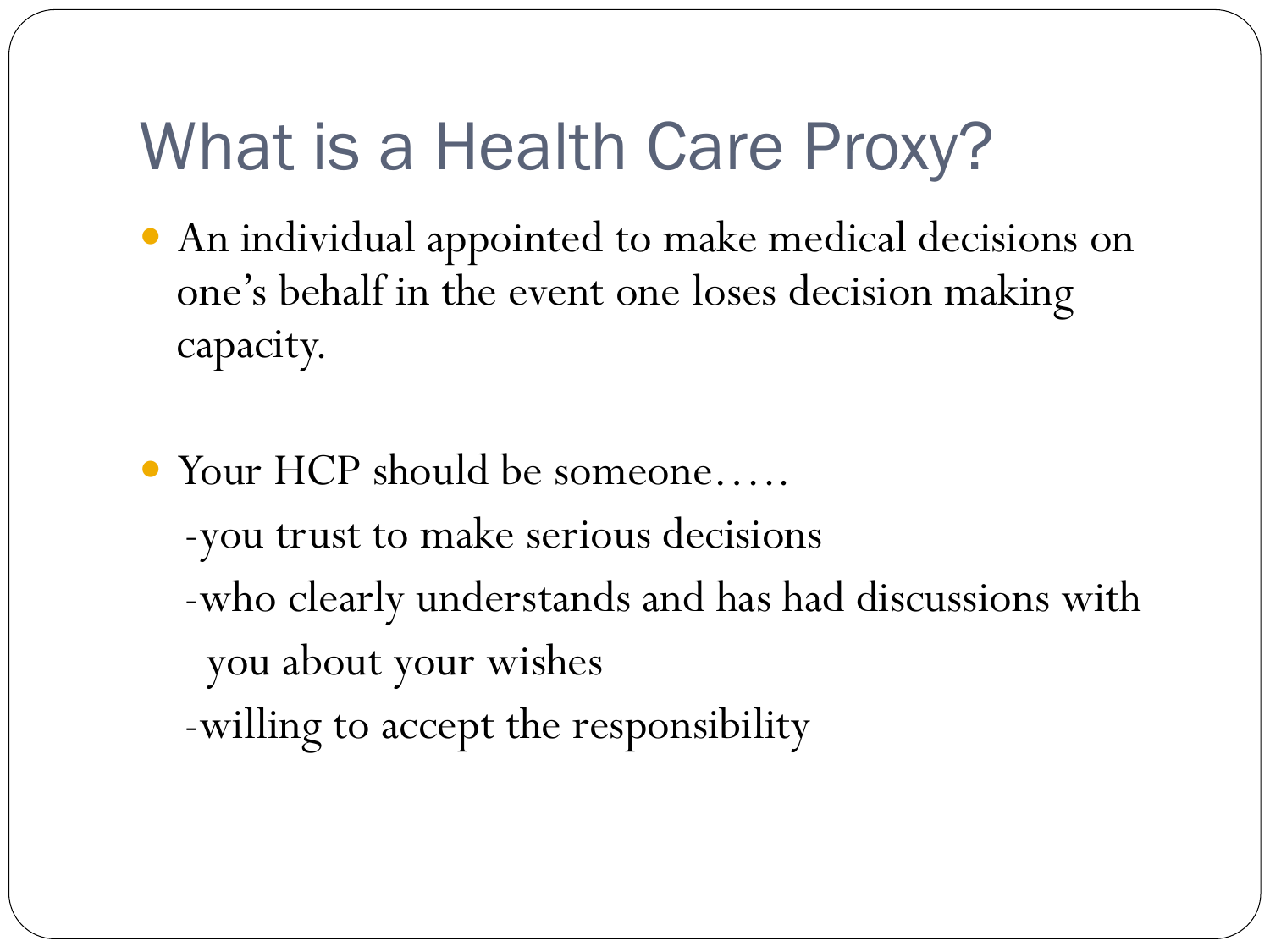## What is a Health Care Proxy?

- An individual appointed to make medical decisions on one's behalf in the event one loses decision making capacity.
- Your HCP should be someone….. -you trust to make serious decisions -who clearly understands and has had discussions with you about your wishes -willing to accept the responsibility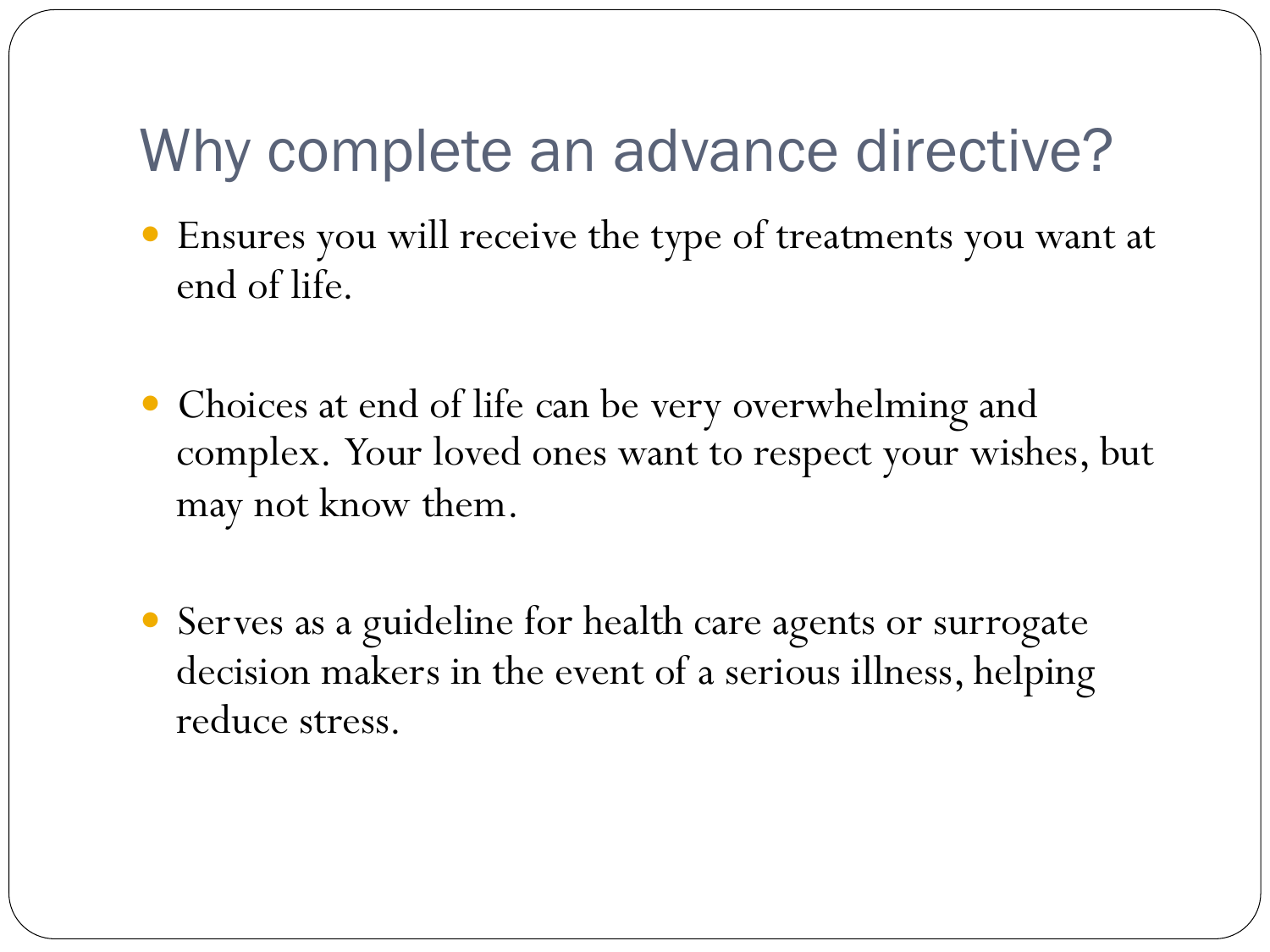#### Why complete an advance directive?

- Ensures you will receive the type of treatments you want at end of life.
- Choices at end of life can be very overwhelming and complex. Your loved ones want to respect your wishes, but may not know them.
- Serves as a guideline for health care agents or surrogate decision makers in the event of a serious illness, helping reduce stress.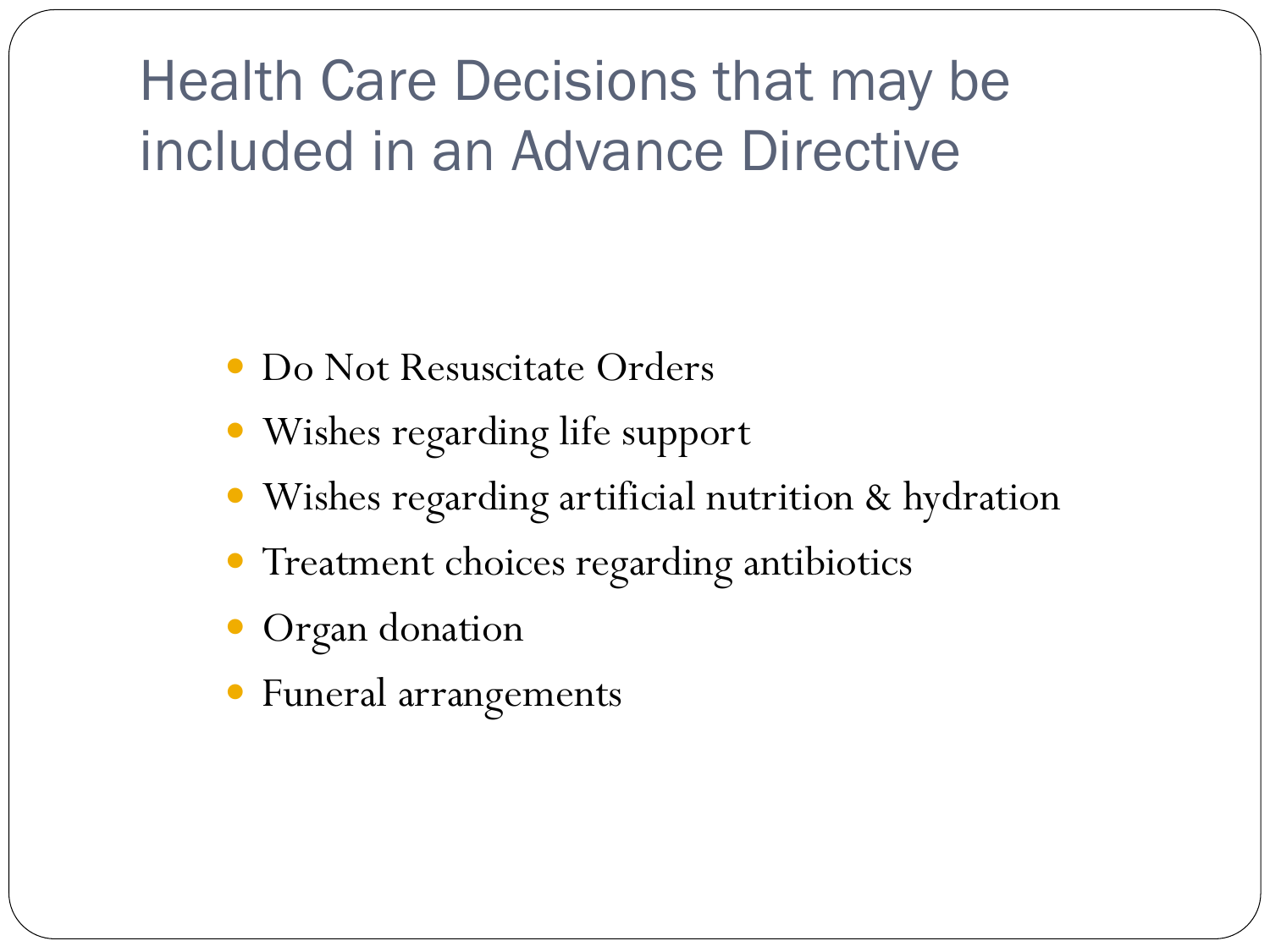Health Care Decisions that may be included in an Advance Directive

- Do Not Resuscitate Orders
- Wishes regarding life support
- Wishes regarding artificial nutrition & hydration
- **Treatment choices regarding antibiotics**
- Organ donation
- Funeral arrangements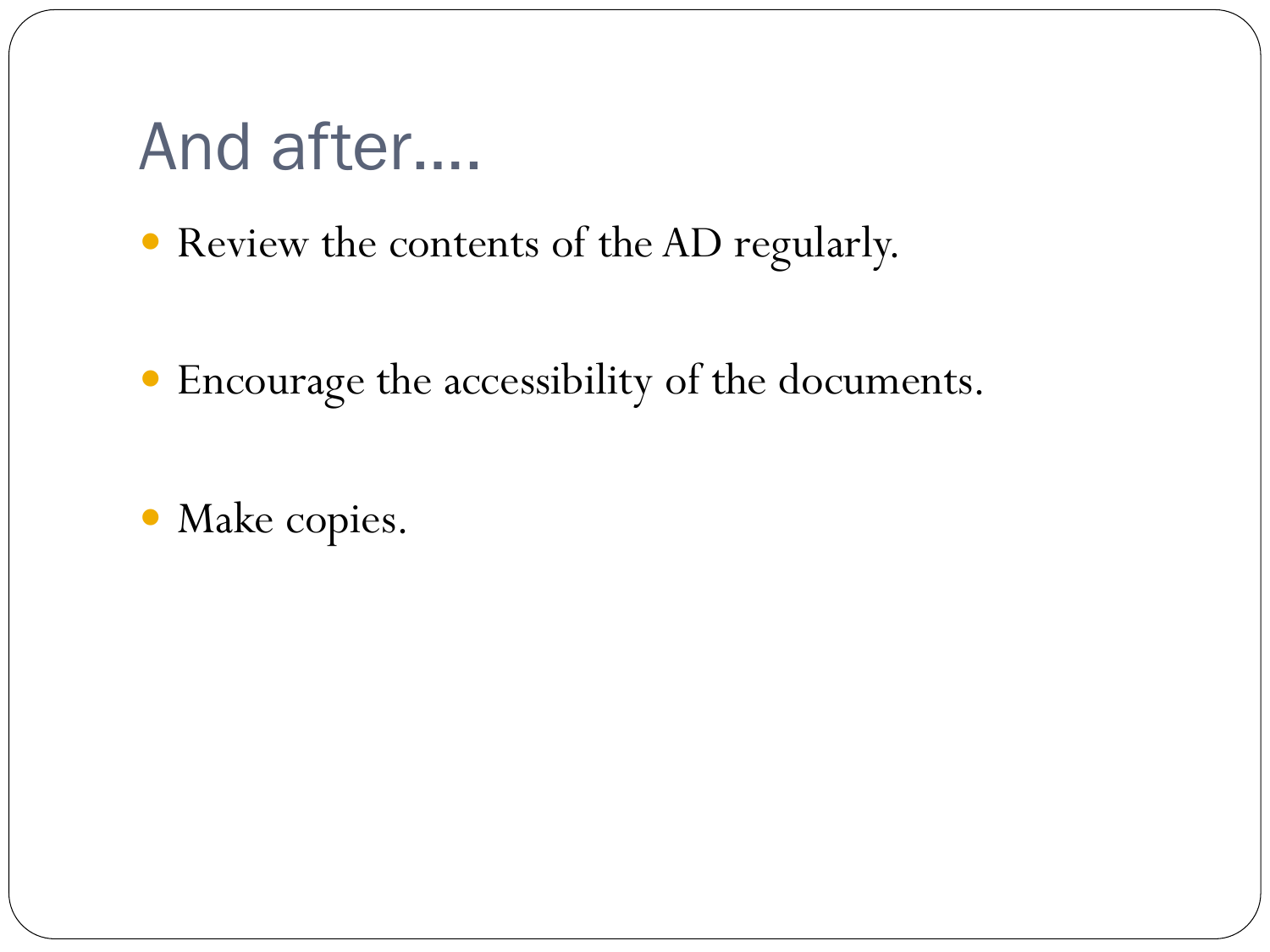### And after….

- Review the contents of the AD regularly.
- Encourage the accessibility of the documents.
- Make copies.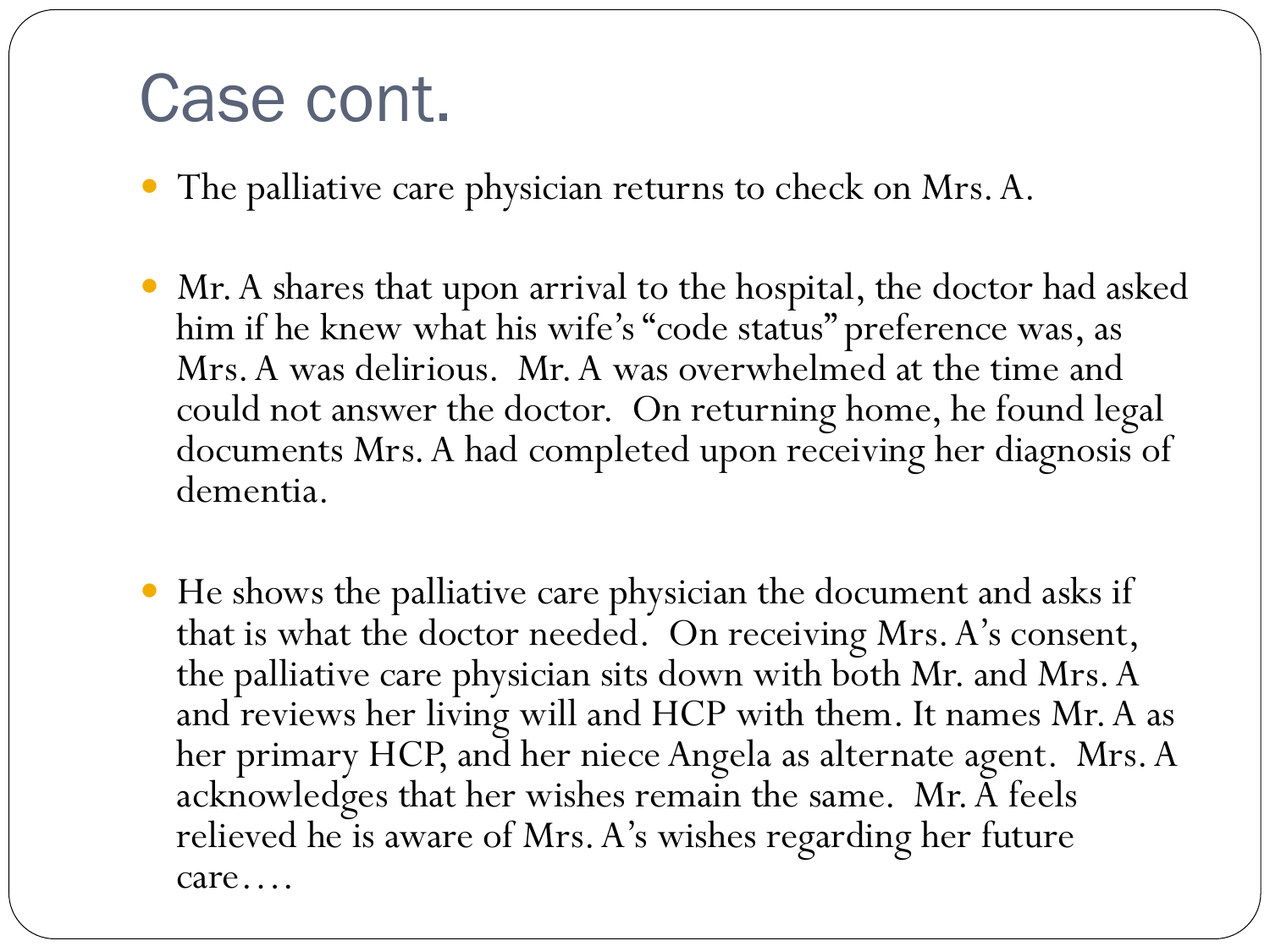### Case cont.

֦

- The palliative care physician returns to check on Mrs. A.
- Mr. A shares that upon arrival to the hospital, the doctor had asked him if he knew what his wife's "code status" preference was, as Mrs. A was delirious. Mr. A was overwhelmed at the time and could not answer the doctor. On returning home, he found legal documents Mrs. A had completed upon receiving her diagnosis of dementia.
- He shows the palliative care physician the document and asks if that is what the doctor needed. On receiving Mrs. A's consent, the palliative care physician sits down with both Mr. and Mrs. A and reviews her living will and HCP with them. It names Mr. A as her primary HCP, and her niece Angela as alternate agent. Mrs. A acknowledges that her wishes remain the same. Mr. A feels relieved he is aware of Mrs. A's wishes regarding her future care….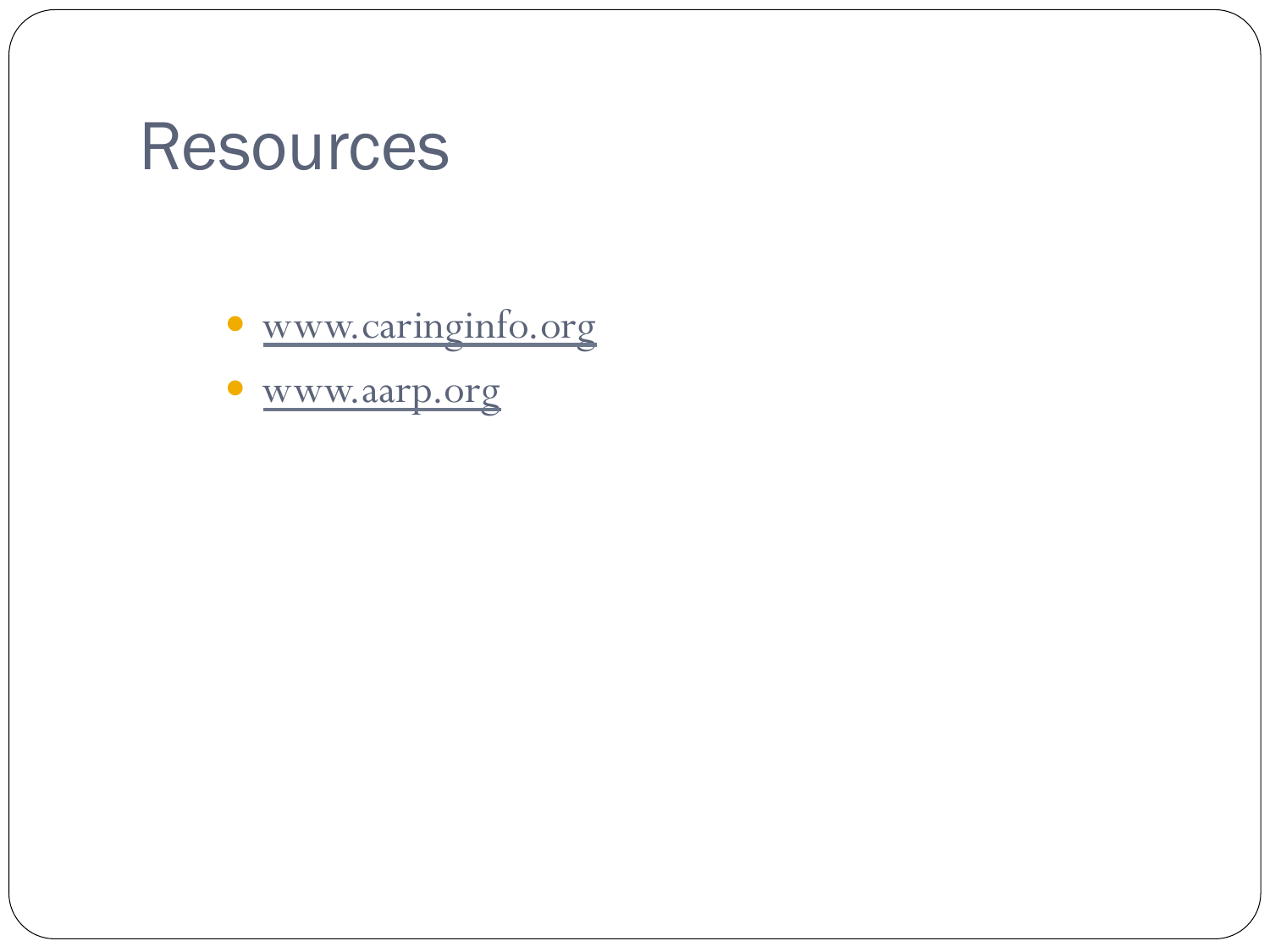### Resources

www.caringinfo.org

www.aarp.org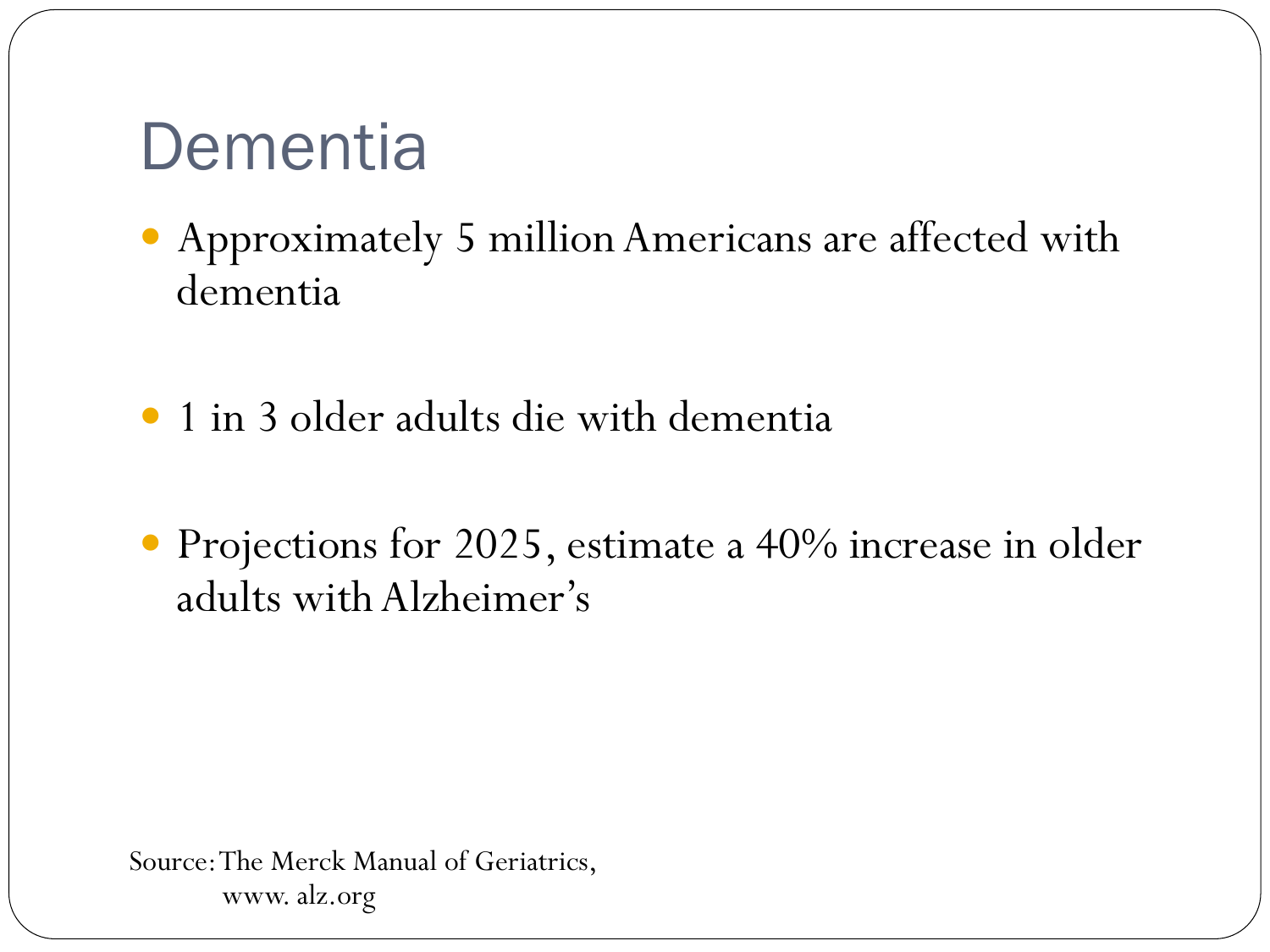## **Dementia**

- Approximately 5 million Americans are affected with dementia
- 1 in 3 older adults die with dementia
- Projections for 2025, estimate a 40% increase in older adults with Alzheimer's

Source: The Merck Manual of Geriatrics, www. alz.org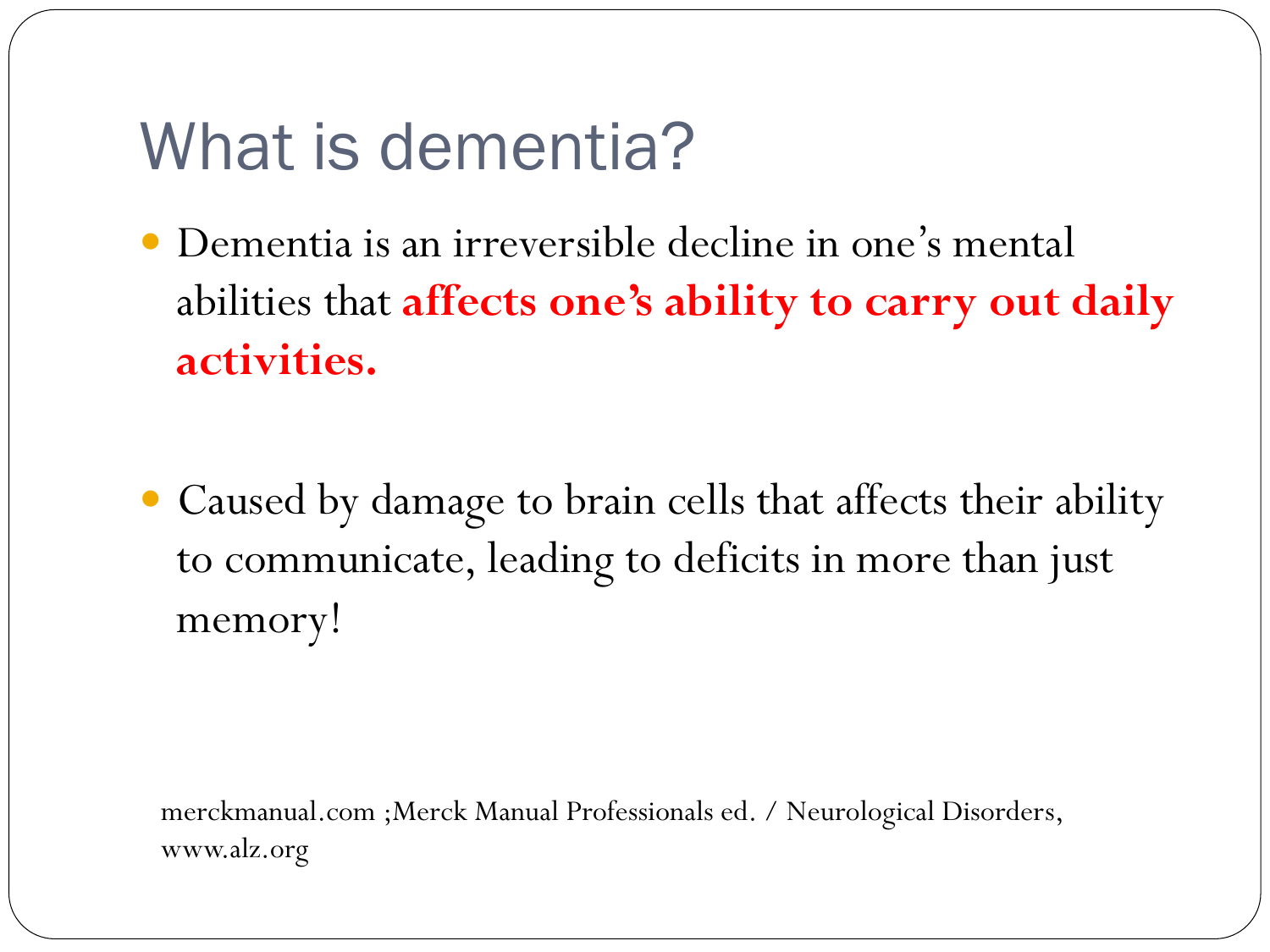## What is dementia?

- Dementia is an irreversible decline in one's mental abilities that **affects one's ability to carry out daily activities.**
- Caused by damage to brain cells that affects their ability to communicate, leading to deficits in more than just memory!

merckmanual.com ;Merck Manual Professionals ed. / Neurological Disorders, www.alz.org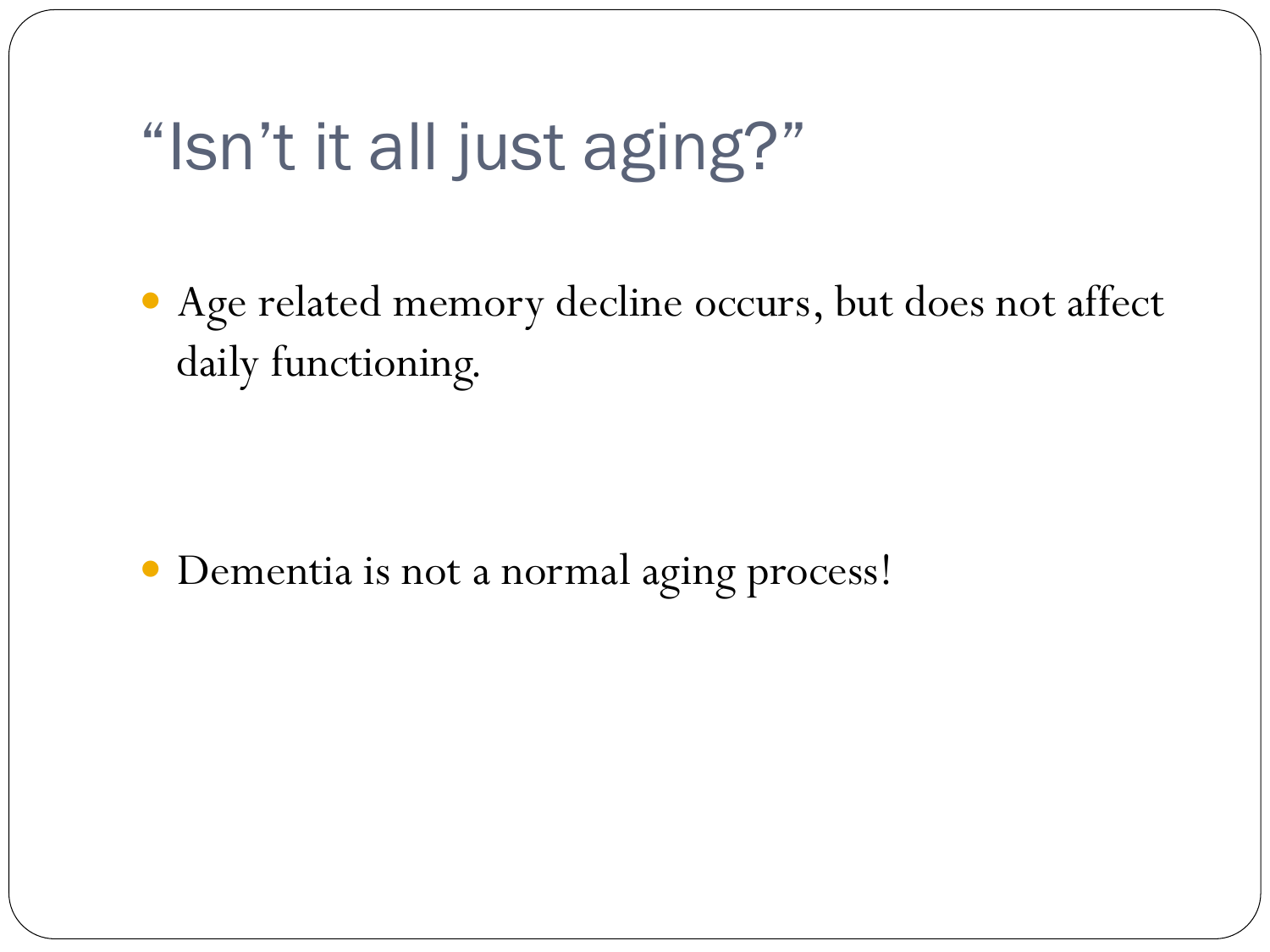## "Isn't it all just aging?"

 Age related memory decline occurs, but does not affect daily functioning.

Dementia is not a normal aging process!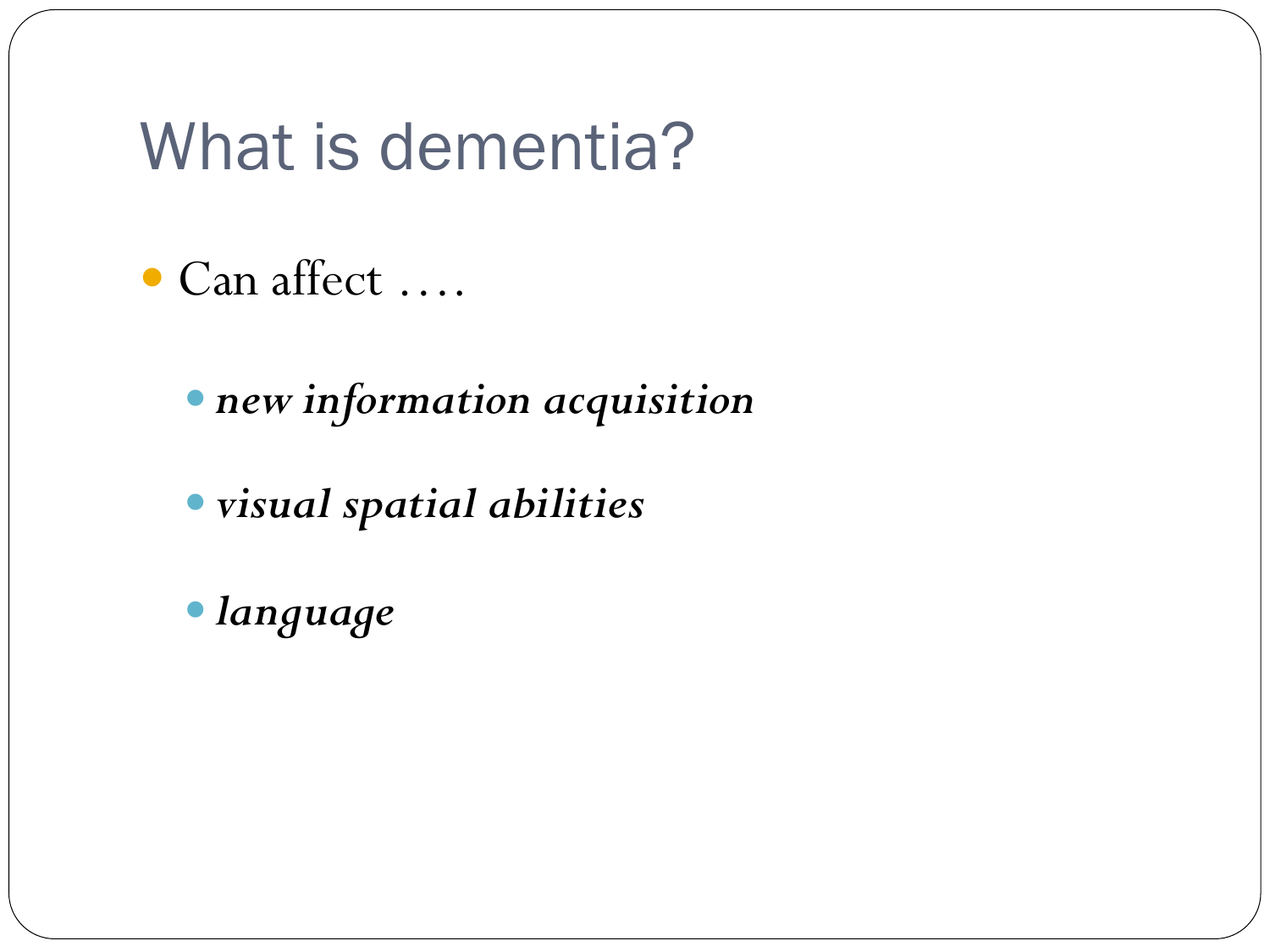### What is dementia?

- Can affect ….
	- *new information acquisition*
	- *visual spatial abilities*
	- *language*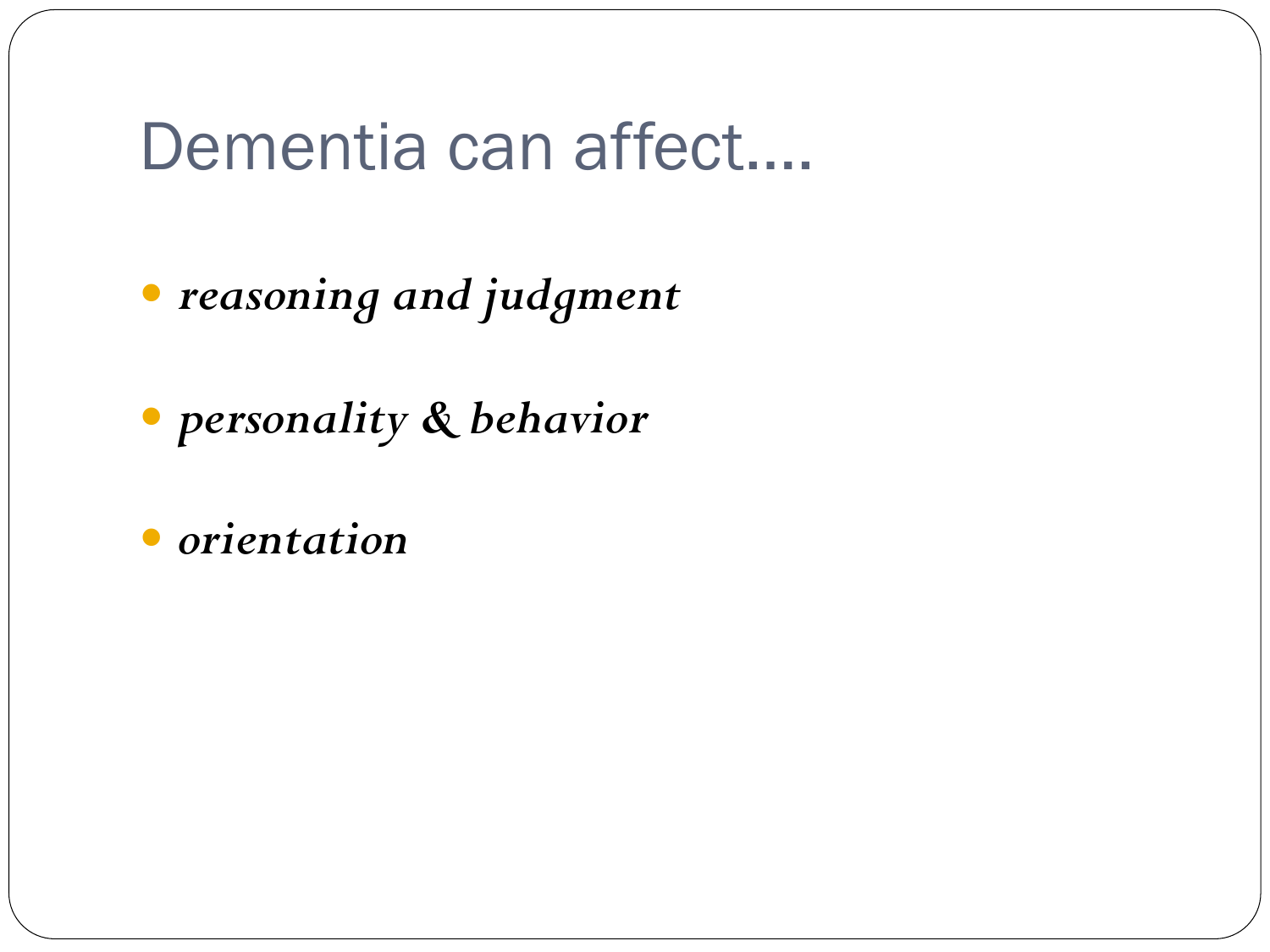#### Dementia can affect….

*reasoning and judgment* 

*personality & behavior* 

*orientation*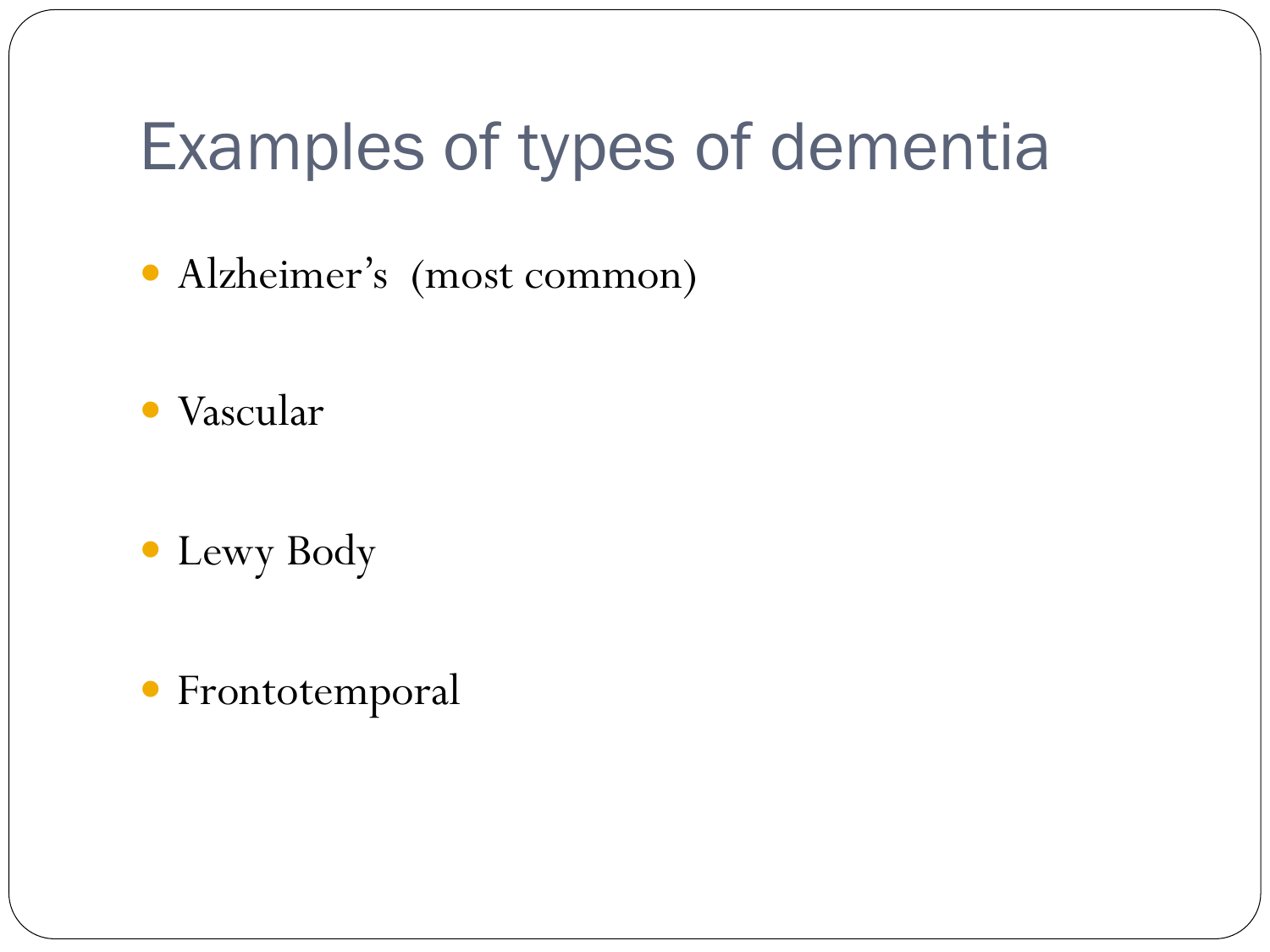## Examples of types of dementia

Alzheimer's (most common)

- Vascular
- Lewy Body
- Frontotemporal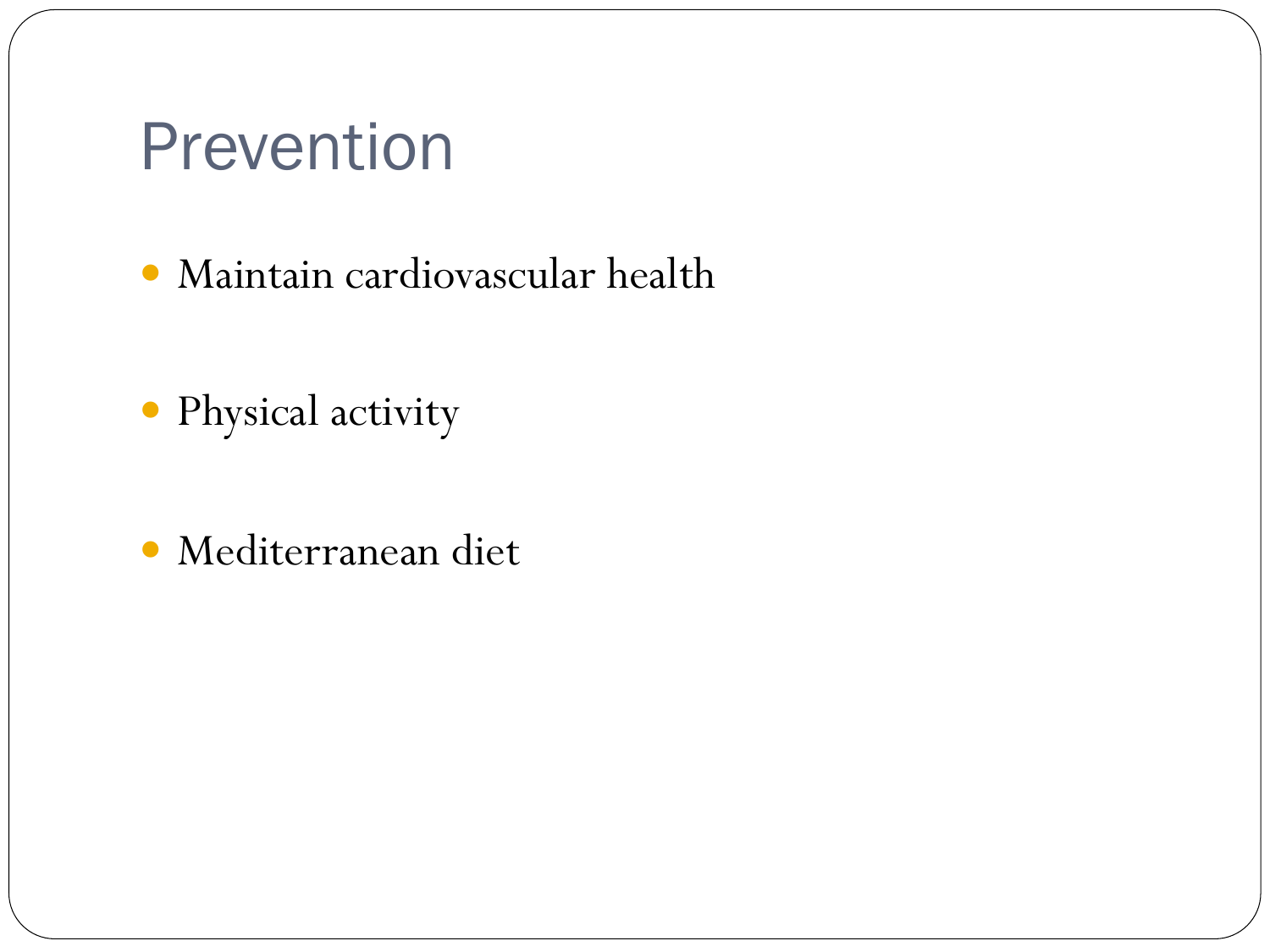### Prevention

- Maintain cardiovascular health
- Physical activity
- Mediterranean diet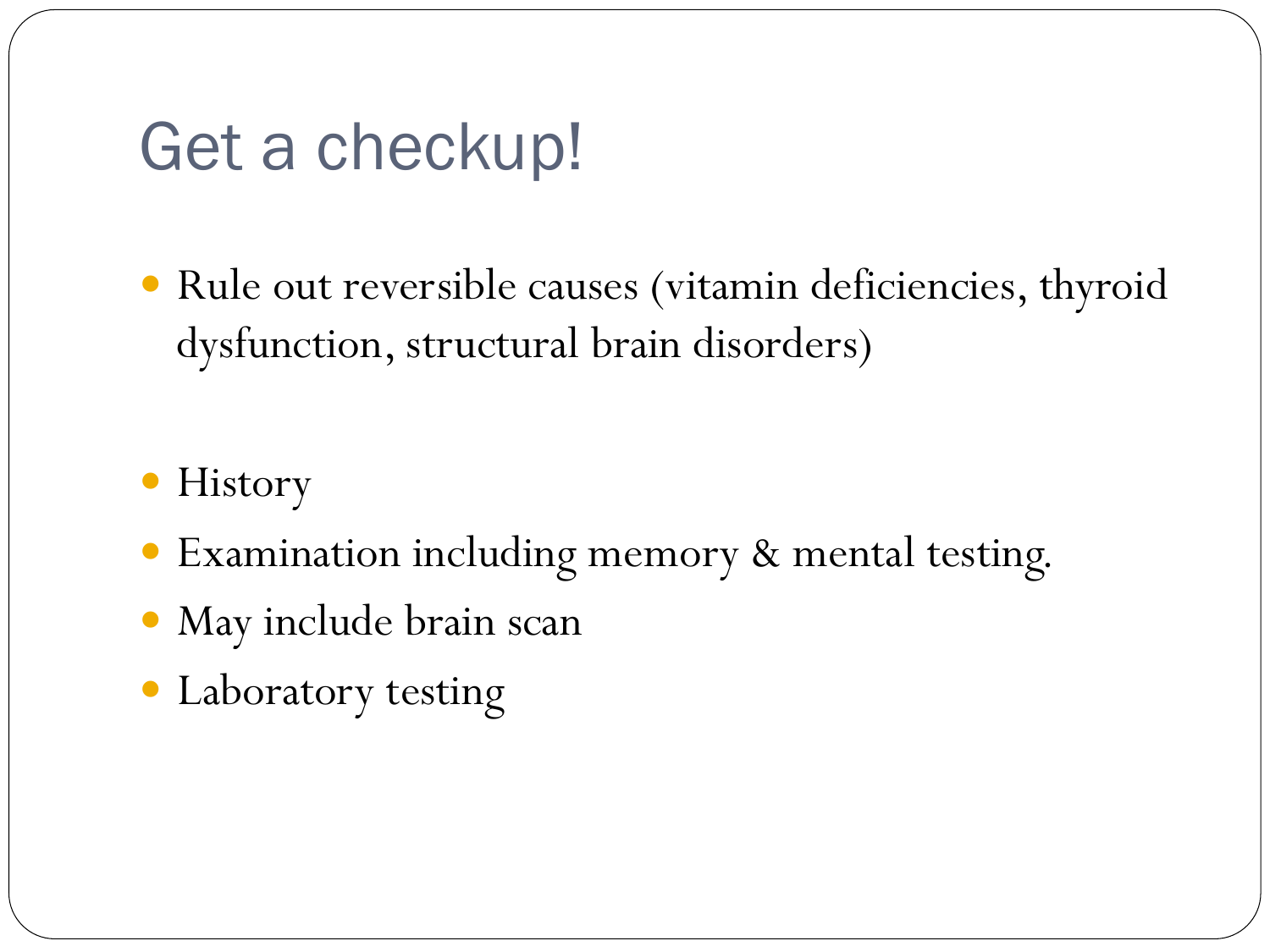### Get a checkup!

- Rule out reversible causes (vitamin deficiencies, thyroid dysfunction, structural brain disorders)
- History
- Examination including memory & mental testing.
- May include brain scan
- Laboratory testing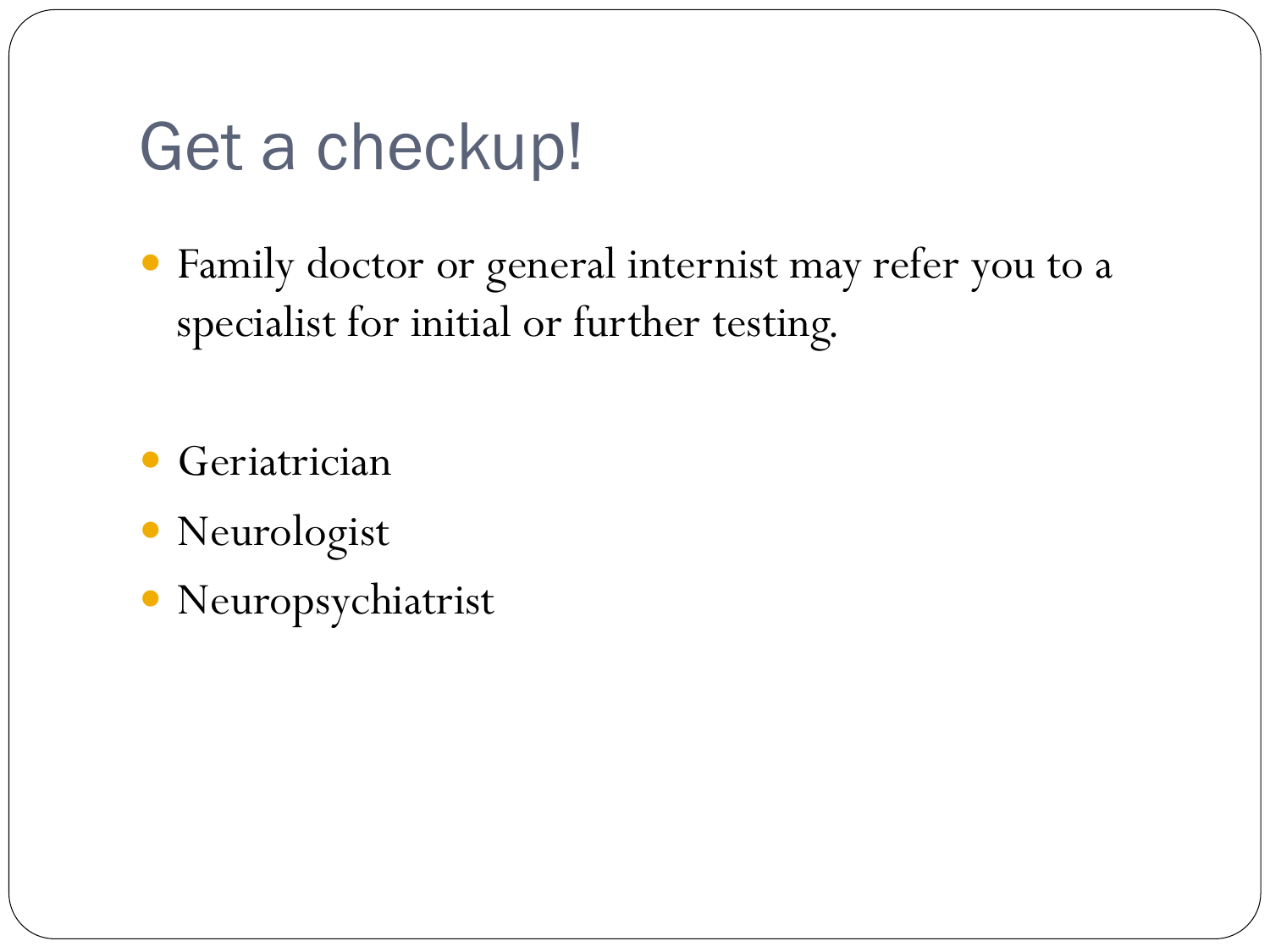## Get a checkup!

 Family doctor or general internist may refer you to a specialist for initial or further testing.

Geriatrician

- Neurologist
- Neuropsychiatrist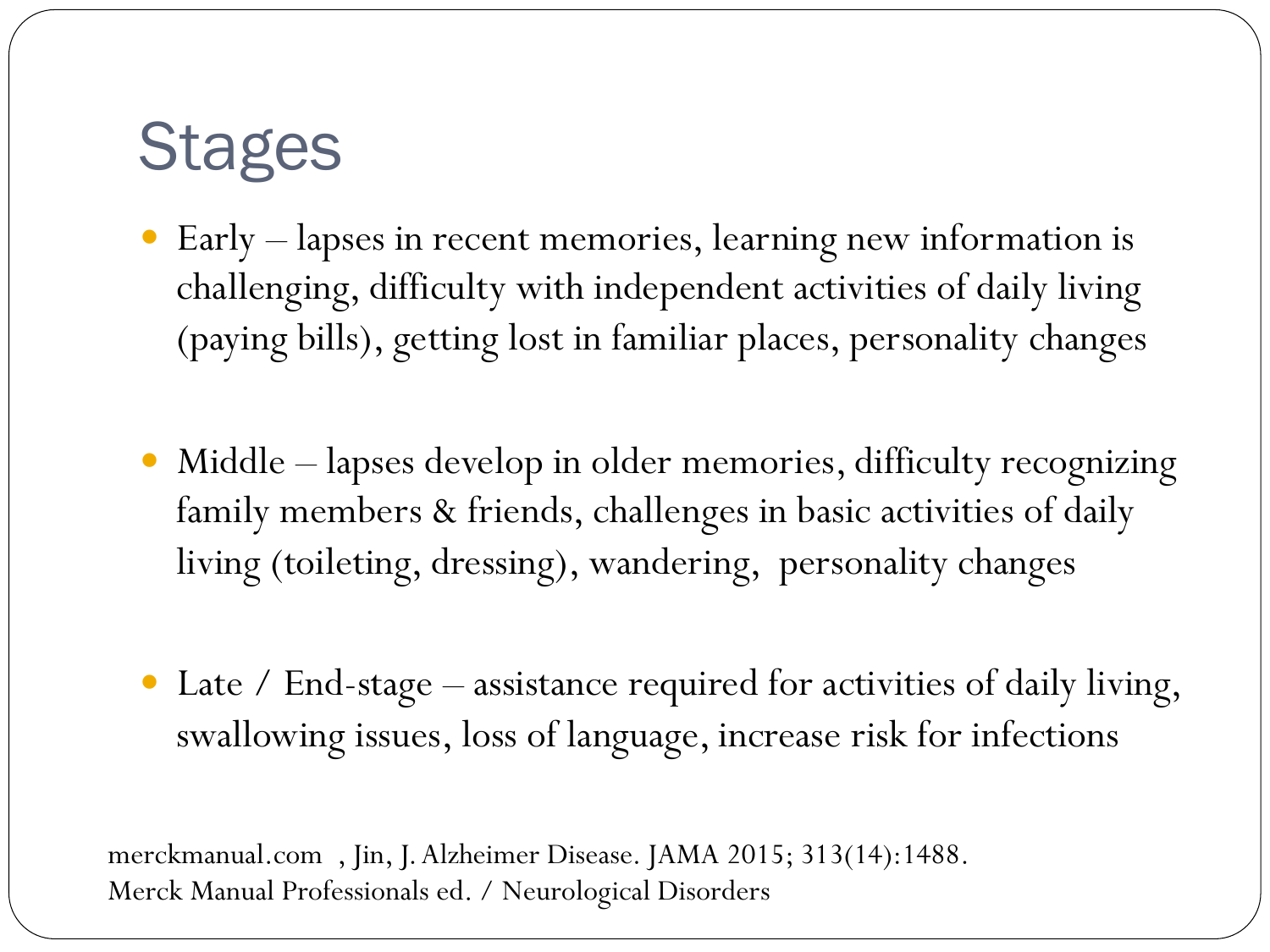## **Stages**

- Early lapses in recent memories, learning new information is challenging, difficulty with independent activities of daily living (paying bills), getting lost in familiar places, personality changes
- Middle lapses develop in older memories, difficulty recognizing family members & friends, challenges in basic activities of daily living (toileting, dressing), wandering, personality changes
- Late / End-stage assistance required for activities of daily living, swallowing issues, loss of language, increase risk for infections

merckmanual.com , Jin, J. Alzheimer Disease. JAMA 2015; 313(14):1488. Merck Manual Professionals ed. / Neurological Disorders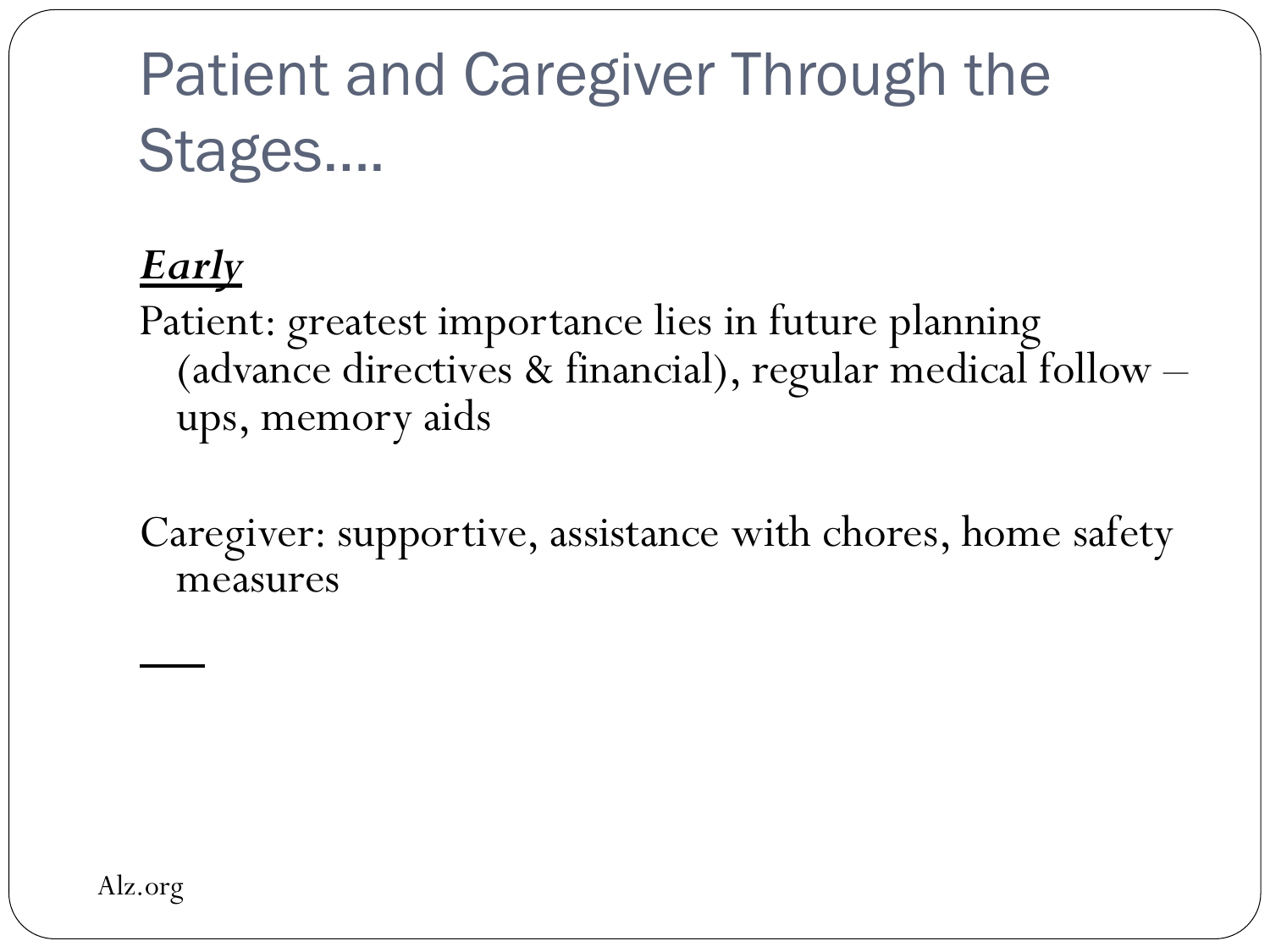## Patient and Caregiver Through the Stages….

#### *Early*

Patient: greatest importance lies in future planning (advance directives & financial), regular medical follow – ups, memory aids

Caregiver: supportive, assistance with chores, home safety measures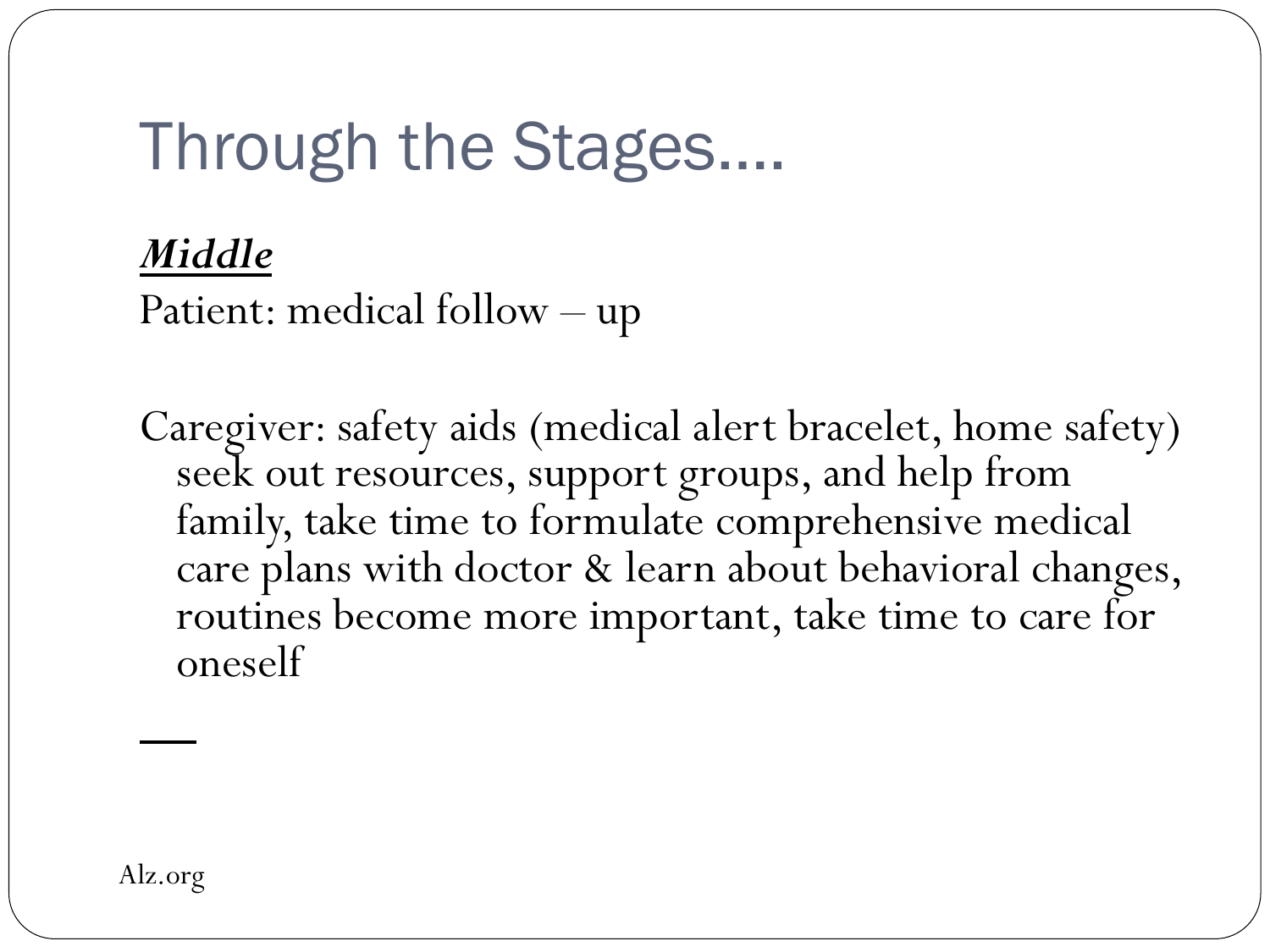## Through the Stages….

#### *Middle*

Patient: medical follow – up

Caregiver: safety aids (medical alert bracelet, home safety) seek out resources, support groups, and help from family, take time to formulate comprehensive medical care plans with doctor & learn about behavioral changes, routines become more important, take time to care for oneself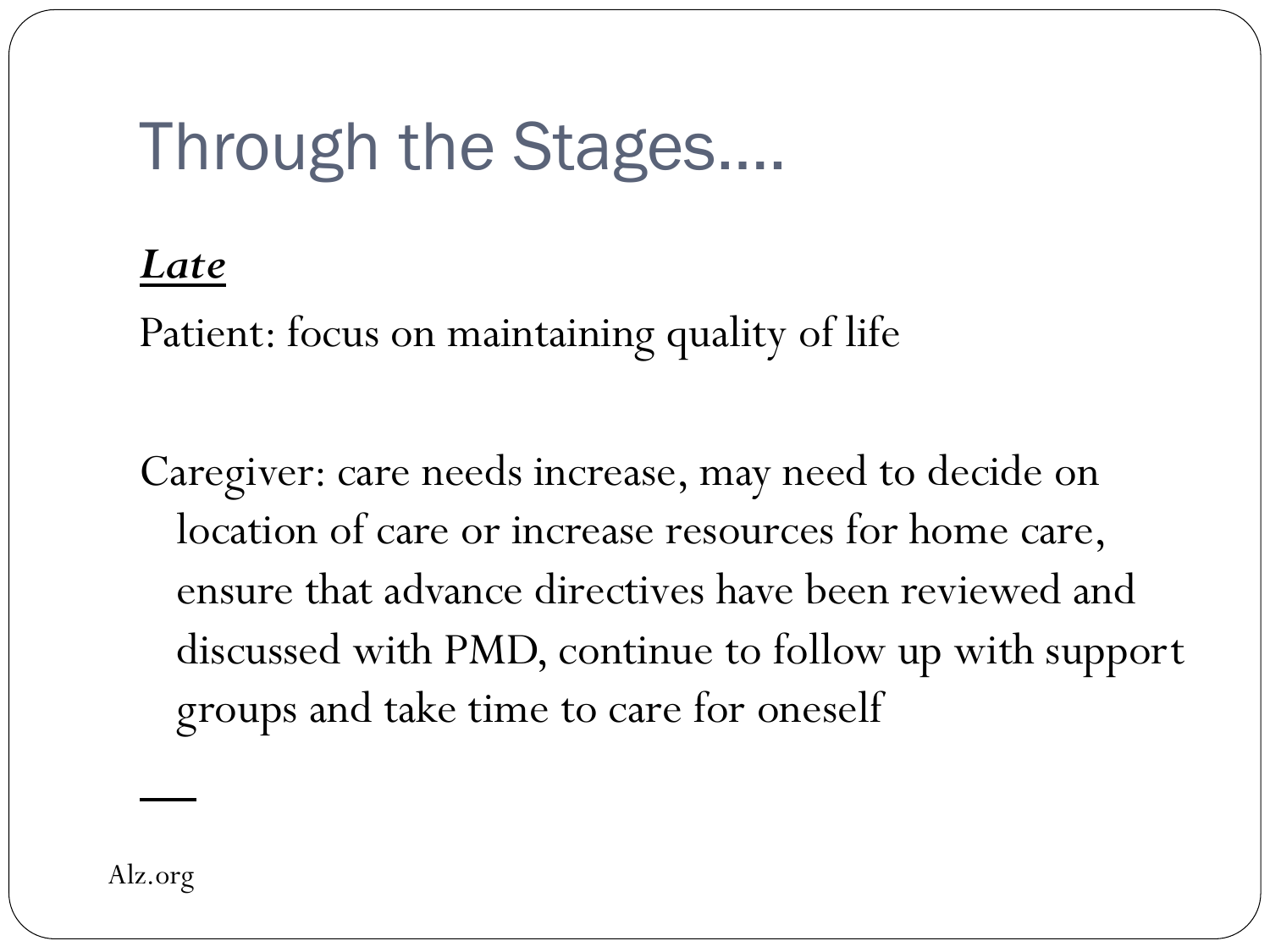## Through the Stages….

#### *Late*

Patient: focus on maintaining quality of life

Caregiver: care needs increase, may need to decide on location of care or increase resources for home care, ensure that advance directives have been reviewed and discussed with PMD, continue to follow up with support groups and take time to care for oneself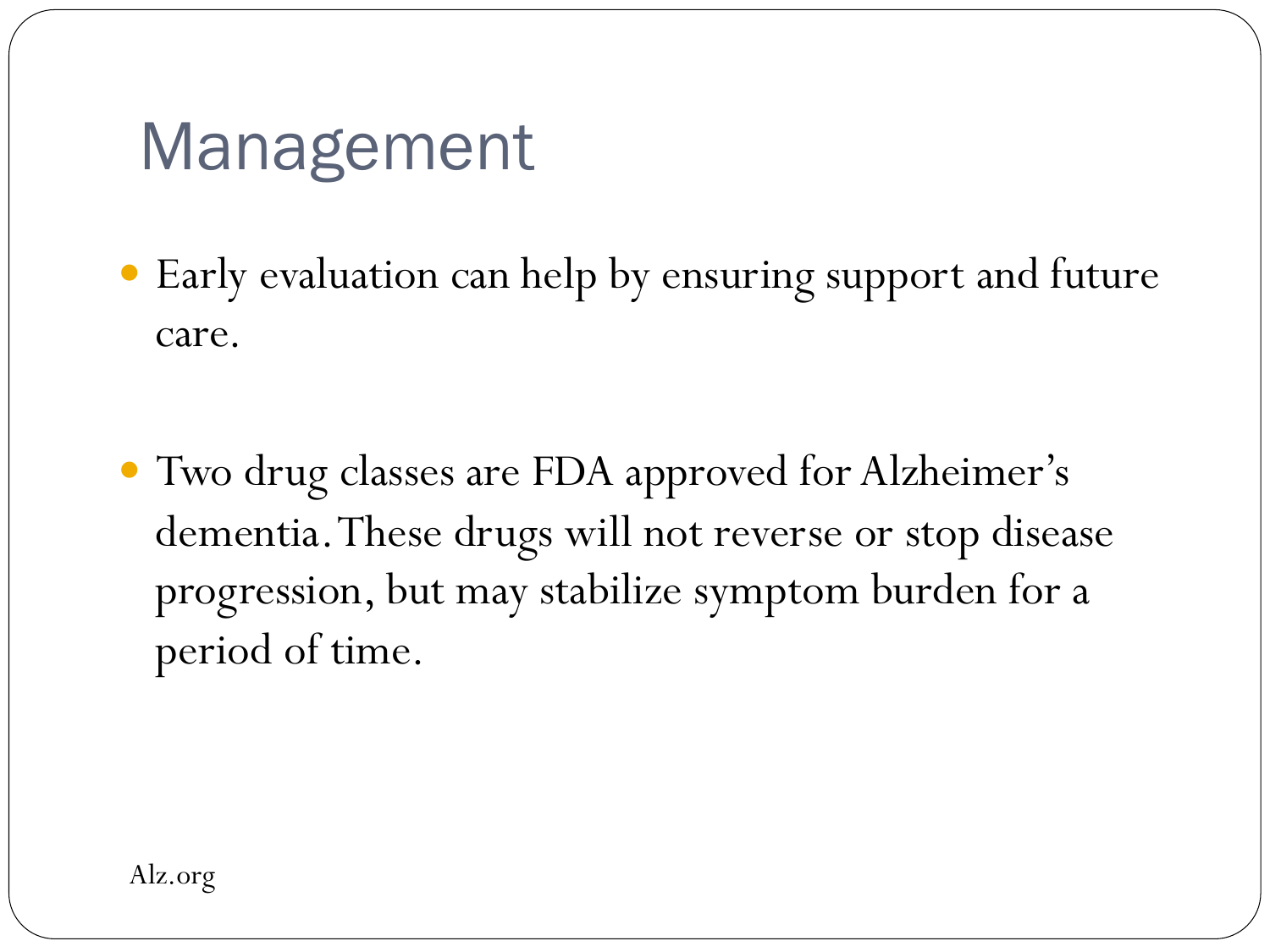## Management

- Early evaluation can help by ensuring support and future care.
- Two drug classes are FDA approved for Alzheimer's dementia. These drugs will not reverse or stop disease progression, but may stabilize symptom burden for a period of time.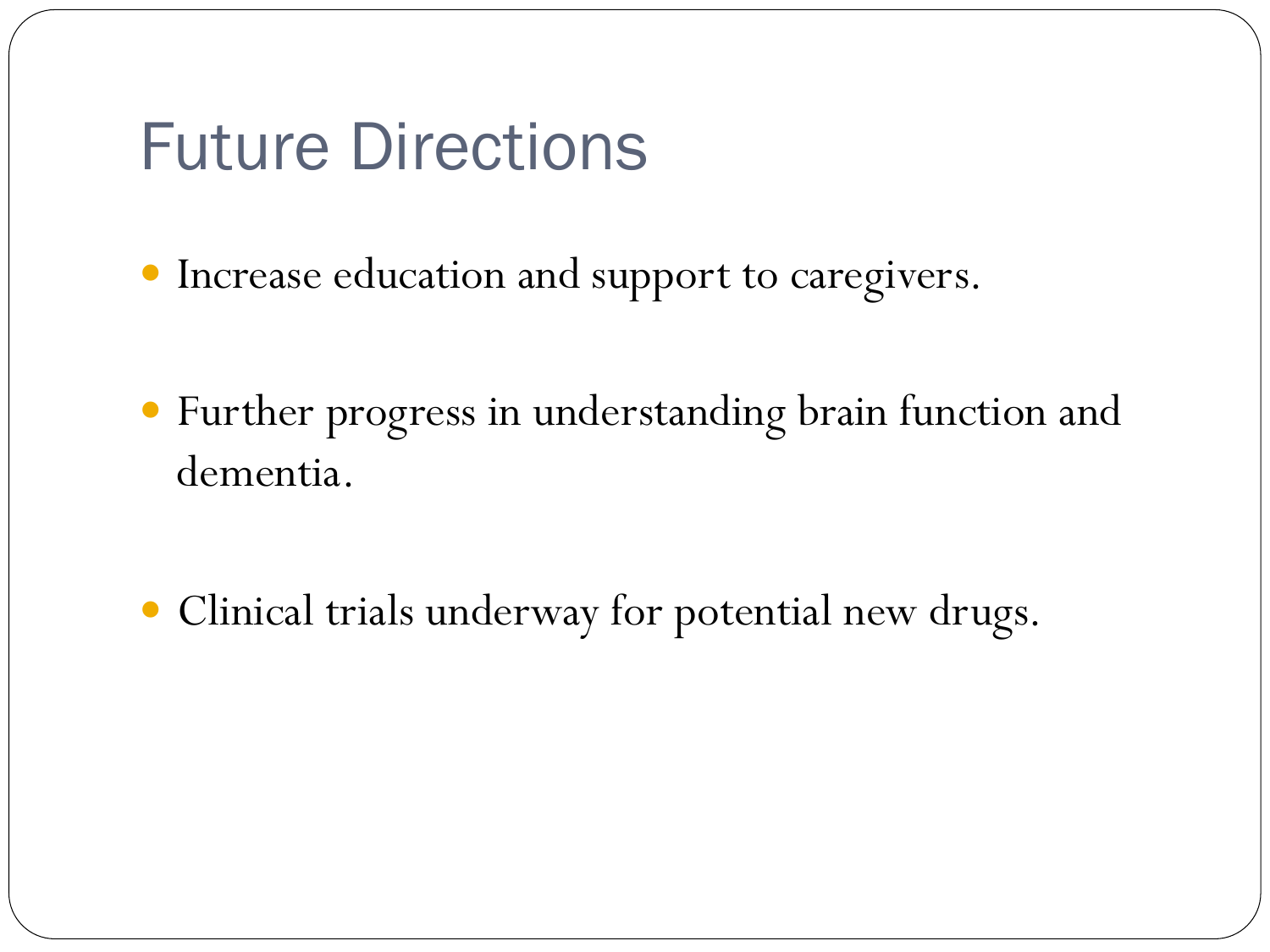### Future Directions

- Increase education and support to caregivers.
- Further progress in understanding brain function and dementia.
- Clinical trials underway for potential new drugs.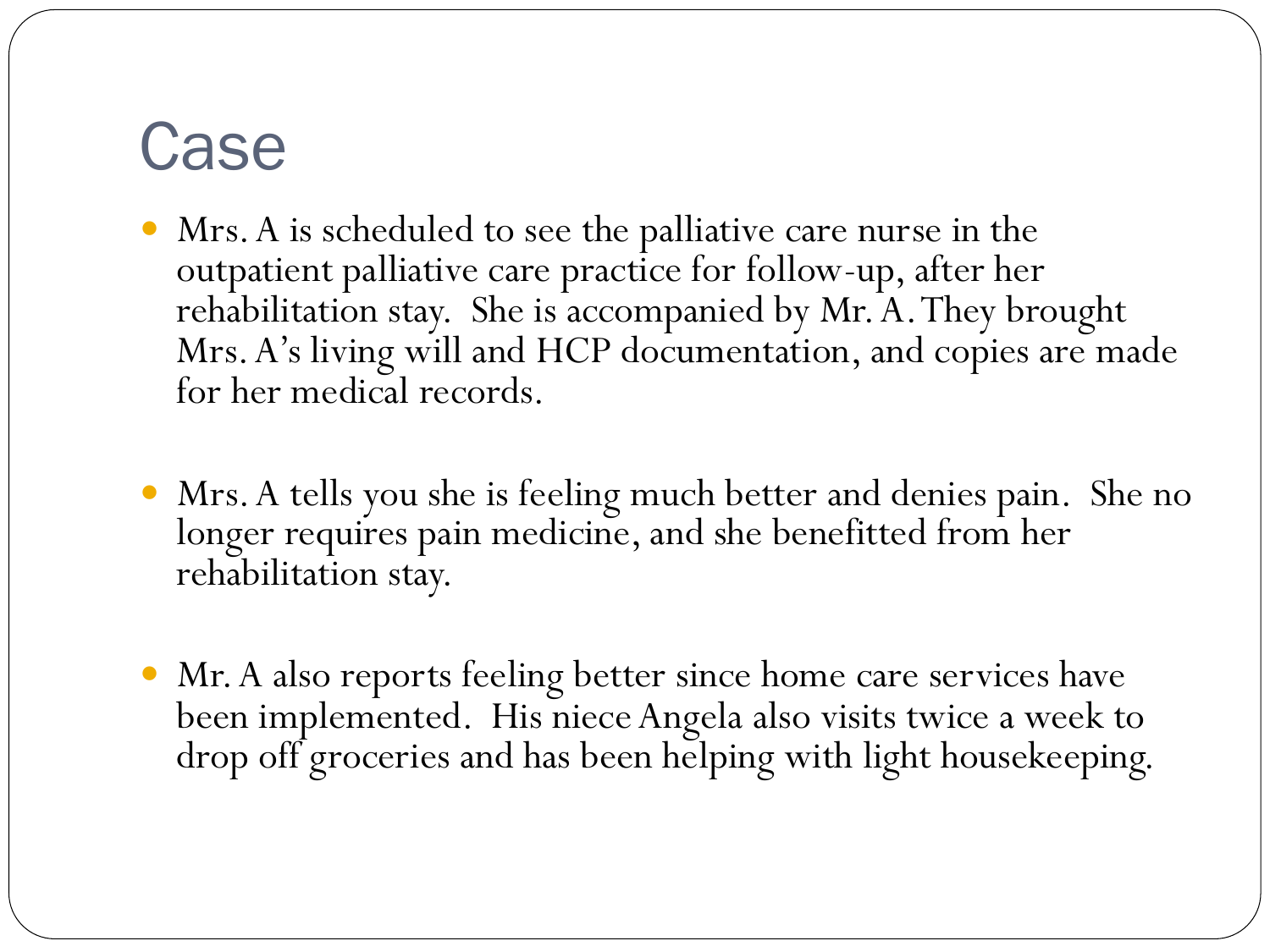## Case

- Mrs. A is scheduled to see the palliative care nurse in the outpatient palliative care practice for follow-up, after her rehabilitation stay. She is accompanied by Mr. A. They brought Mrs. A's living will and HCP documentation, and copies are made for her medical records.
- Mrs. A tells you she is feeling much better and denies pain. She no longer requires pain medicine, and she benefitted from her rehabilitation stay.
- Mr. A also reports feeling better since home care services have been implemented. His niece Angela also visits twice a week to drop off groceries and has been helping with light housekeeping.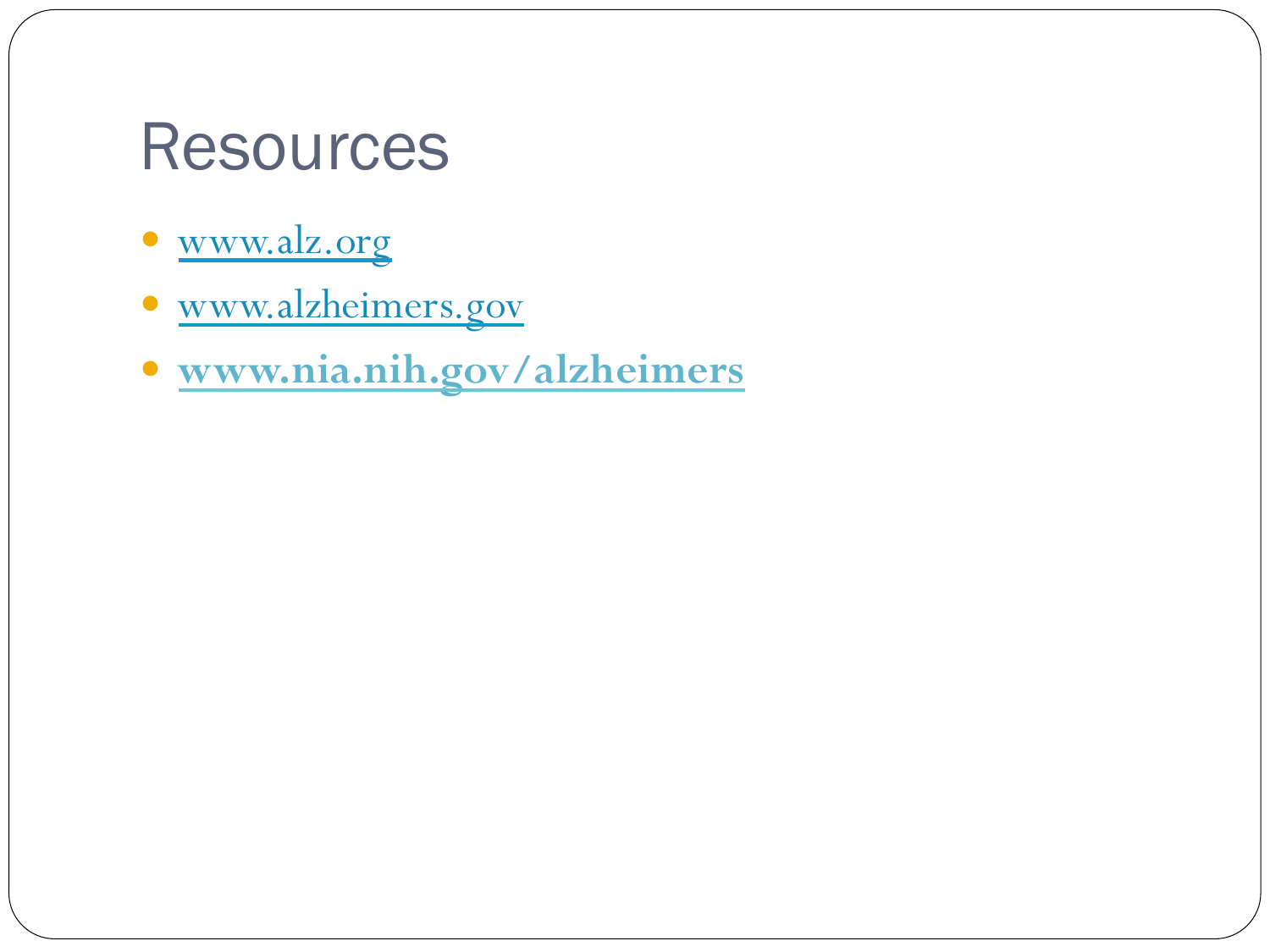### **Resources**

- www.alz.org
- www.alzheimers.gov
- **www.nia.nih.gov/alzheimers**